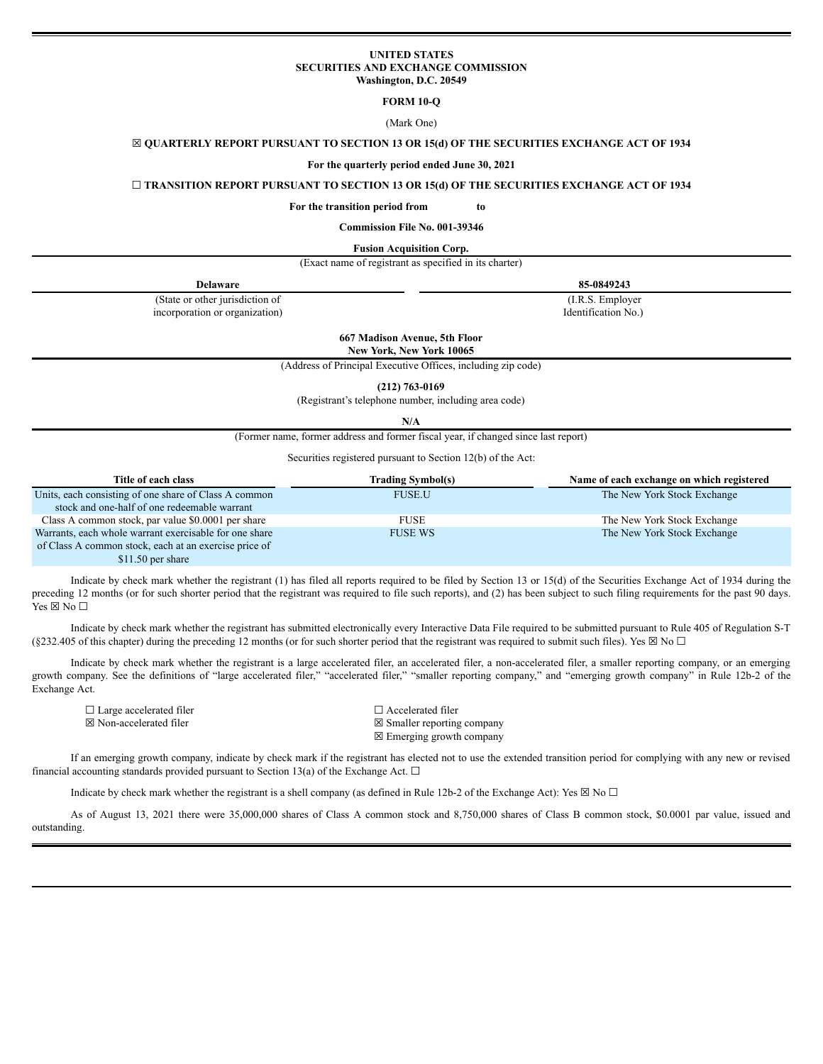# **UNITED STATES SECURITIES AND EXCHANGE COMMISSION Washington, D.C. 20549**

**FORM 10-Q**

(Mark One)

# ☒ **QUARTERLY REPORT PURSUANT TO SECTION 13 OR 15(d) OF THE SECURITIES EXCHANGE ACT OF 1934**

#### **For the quarterly period ended June 30, 2021**

# ☐ **TRANSITION REPORT PURSUANT TO SECTION 13 OR 15(d) OF THE SECURITIES EXCHANGE ACT OF 1934**

**For the transition period from to**

**Commission File No. 001-39346**

#### **Fusion Acquisition Corp.**

| (Exact name of registrant as specified in its charter) |  |  |  |  |
|--------------------------------------------------------|--|--|--|--|
|--------------------------------------------------------|--|--|--|--|

| Delaware                        | 85-0849243          |
|---------------------------------|---------------------|
| (State or other jurisdiction of | (I.R.S. Employer)   |
| incorporation or organization)  | Identification No.) |

**667 Madison Avenue, 5th Floor**

**New York, New York 10065**

(Address of Principal Executive Offices, including zip code)

**(212) 763-0169**

(Registrant's telephone number, including area code)

**N/A**

(Former name, former address and former fiscal year, if changed since last report)

Securities registered pursuant to Section 12(b) of the Act:

| Title of each class                                    | <b>Trading Symbol(s)</b> | Name of each exchange on which registered |
|--------------------------------------------------------|--------------------------|-------------------------------------------|
| Units, each consisting of one share of Class A common  | <b>FUSE.U</b>            | The New York Stock Exchange               |
| stock and one-half of one redeemable warrant           |                          |                                           |
| Class A common stock, par value \$0.0001 per share     | <b>FUSE</b>              | The New York Stock Exchange               |
| Warrants, each whole warrant exercisable for one share | <b>FUSE WS</b>           | The New York Stock Exchange               |
| of Class A common stock, each at an exercise price of  |                          |                                           |
| $$11.50$ per share                                     |                          |                                           |

Indicate by check mark whether the registrant (1) has filed all reports required to be filed by Section 13 or 15(d) of the Securities Exchange Act of 1934 during the preceding 12 months (or for such shorter period that the registrant was required to file such reports), and (2) has been subject to such filing requirements for the past 90 days. Yes  $\boxtimes$  No  $\square$ 

Indicate by check mark whether the registrant has submitted electronically every Interactive Data File required to be submitted pursuant to Rule 405 of Regulation S-T (§232.405 of this chapter) during the preceding 12 months (or for such shorter period that the registrant was required to submit such files). Yes  $\boxtimes$  No  $\Box$ 

Indicate by check mark whether the registrant is a large accelerated filer, an accelerated filer, a non-accelerated filer, a smaller reporting company, or an emerging growth company. See the definitions of "large accelerated filer," "accelerated filer," "smaller reporting company," and "emerging growth company" in Rule 12b-2 of the Exchange Act.

| $\Box$ Large accelerated filer | $\Box$ Accelerated filer              |
|--------------------------------|---------------------------------------|
| ⊠ Non-accelerated filer        | $\boxtimes$ Smaller reporting company |
|                                | $\boxtimes$ Emerging growth company   |

If an emerging growth company, indicate by check mark if the registrant has elected not to use the extended transition period for complying with any new or revised financial accounting standards provided pursuant to Section 13(a) of the Exchange Act.  $\Box$ 

Indicate by check mark whether the registrant is a shell company (as defined in Rule 12b-2 of the Exchange Act): Yes  $\boxtimes$  No  $\Box$ 

As of August 13, 2021 there were 35,000,000 shares of Class A common stock and 8,750,000 shares of Class B common stock, \$0.0001 par value, issued and outstanding.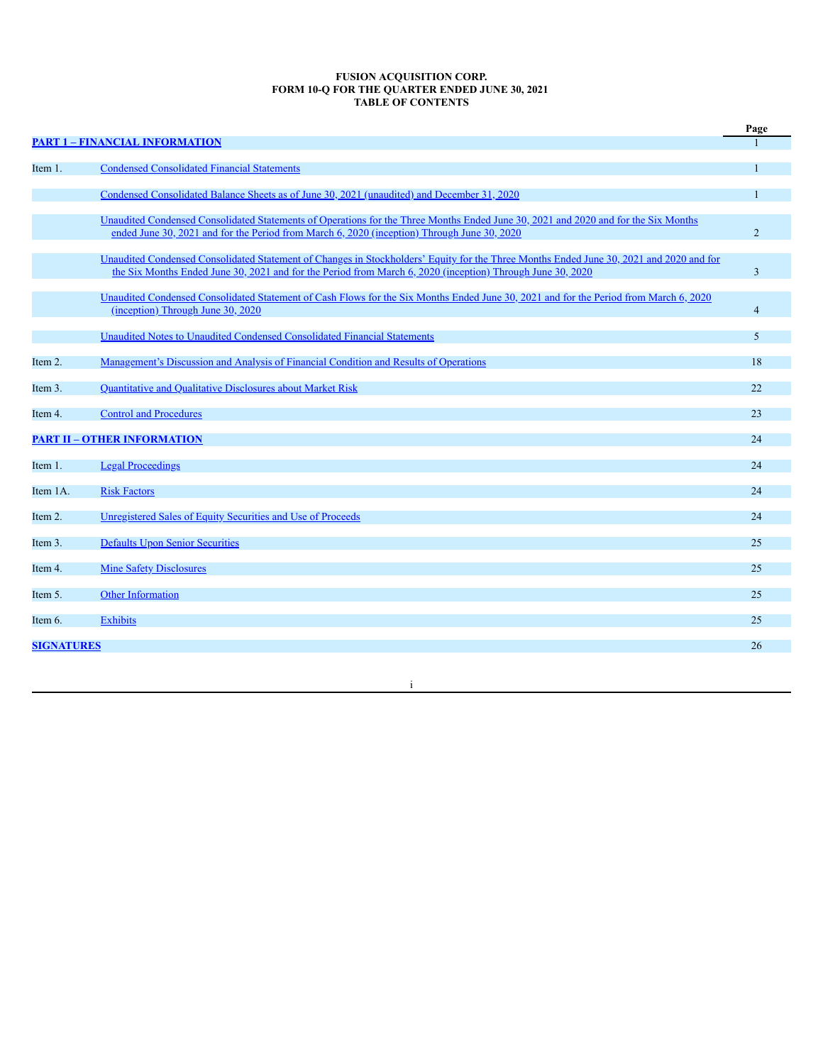## **FUSION ACQUISITION CORP. FORM 10-Q FOR THE QUARTER ENDED JUNE 30, 2021 TABLE OF CONTENTS**

|                   |                                                                                                                                                                                                                                                       | Page           |
|-------------------|-------------------------------------------------------------------------------------------------------------------------------------------------------------------------------------------------------------------------------------------------------|----------------|
|                   | <b>PART 1 - FINANCIAL INFORMATION</b>                                                                                                                                                                                                                 |                |
| Item 1.           | <b>Condensed Consolidated Financial Statements</b>                                                                                                                                                                                                    | $\mathbf{1}$   |
|                   | Condensed Consolidated Balance Sheets as of June 30, 2021 (unaudited) and December 31, 2020                                                                                                                                                           | $\mathbf{1}$   |
|                   | Unaudited Condensed Consolidated Statements of Operations for the Three Months Ended June 30, 2021 and 2020 and for the Six Months<br>ended June 30, 2021 and for the Period from March 6, 2020 (inception) Through June 30, 2020                     | $\overline{2}$ |
|                   | Unaudited Condensed Consolidated Statement of Changes in Stockholders' Equity for the Three Months Ended June 30, 2021 and 2020 and for<br>the Six Months Ended June 30, 2021 and for the Period from March 6, 2020 (inception) Through June 30, 2020 | 3              |
|                   | Unaudited Condensed Consolidated Statement of Cash Flows for the Six Months Ended June 30, 2021 and for the Period from March 6, 2020<br>(inception) Through June 30, 2020                                                                            | $\overline{4}$ |
|                   | Unaudited Notes to Unaudited Condensed Consolidated Financial Statements                                                                                                                                                                              | 5              |
| Item 2.           | Management's Discussion and Analysis of Financial Condition and Results of Operations                                                                                                                                                                 | 18             |
| Item 3.           | <b>Quantitative and Qualitative Disclosures about Market Risk</b>                                                                                                                                                                                     | 22             |
| Item 4.           | <b>Control and Procedures</b>                                                                                                                                                                                                                         | 23             |
|                   | <b>PART II - OTHER INFORMATION</b>                                                                                                                                                                                                                    | 24             |
| Item 1.           | <b>Legal Proceedings</b>                                                                                                                                                                                                                              | 24             |
| Item 1A.          | <b>Risk Factors</b>                                                                                                                                                                                                                                   | 24             |
| Item 2.           | Unregistered Sales of Equity Securities and Use of Proceeds                                                                                                                                                                                           | 24             |
| Item 3.           | <b>Defaults Upon Senior Securities</b>                                                                                                                                                                                                                | 25             |
| Item 4.           | <b>Mine Safety Disclosures</b>                                                                                                                                                                                                                        | 25             |
| Item 5.           | <b>Other Information</b>                                                                                                                                                                                                                              | 25             |
| Item 6.           | <b>Exhibits</b>                                                                                                                                                                                                                                       | 25             |
| <b>SIGNATURES</b> |                                                                                                                                                                                                                                                       | 26             |
|                   |                                                                                                                                                                                                                                                       |                |

i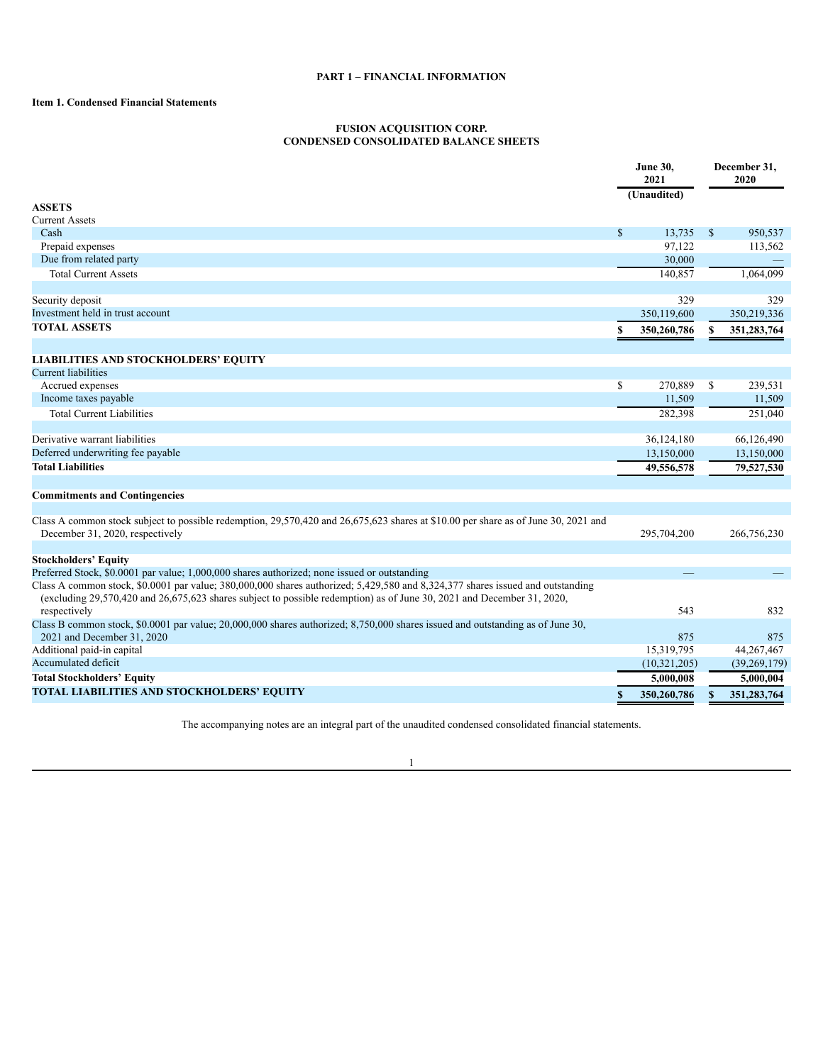# **PART 1 – FINANCIAL INFORMATION**

# <span id="page-2-1"></span><span id="page-2-0"></span>**Item 1. Condensed Financial Statements**

# **FUSION ACQUISITION CORP. CONDENSED CONSOLIDATED BALANCE SHEETS**

<span id="page-2-2"></span>

|                                                                                                                                                                                                                                                              | <b>June 30,</b><br>2021 |                |              | December 31,<br>2020 |
|--------------------------------------------------------------------------------------------------------------------------------------------------------------------------------------------------------------------------------------------------------------|-------------------------|----------------|--------------|----------------------|
|                                                                                                                                                                                                                                                              |                         | (Unaudited)    |              |                      |
| <b>ASSETS</b>                                                                                                                                                                                                                                                |                         |                |              |                      |
| <b>Current Assets</b>                                                                                                                                                                                                                                        |                         |                |              |                      |
| Cash                                                                                                                                                                                                                                                         | \$                      | 13,735         | $\mathbb{S}$ | 950,537              |
| Prepaid expenses                                                                                                                                                                                                                                             |                         | 97,122         |              | 113,562              |
| Due from related party                                                                                                                                                                                                                                       |                         | 30,000         |              |                      |
| <b>Total Current Assets</b>                                                                                                                                                                                                                                  |                         | 140,857        |              | 1,064,099            |
| Security deposit                                                                                                                                                                                                                                             |                         | 329            |              | 329                  |
| Investment held in trust account                                                                                                                                                                                                                             |                         | 350,119,600    |              | 350,219,336          |
| <b>TOTAL ASSETS</b>                                                                                                                                                                                                                                          | \$                      | 350,260,786    | S            | 351,283,764          |
| <b>LIABILITIES AND STOCKHOLDERS' EQUITY</b>                                                                                                                                                                                                                  |                         |                |              |                      |
| <b>Current liabilities</b>                                                                                                                                                                                                                                   |                         |                |              |                      |
| Accrued expenses                                                                                                                                                                                                                                             | \$                      | 270,889        | $\mathbb{S}$ | 239,531              |
| Income taxes payable                                                                                                                                                                                                                                         |                         | 11,509         |              | 11,509               |
| <b>Total Current Liabilities</b>                                                                                                                                                                                                                             |                         |                |              |                      |
|                                                                                                                                                                                                                                                              |                         | 282,398        |              | 251,040              |
| Derivative warrant liabilities                                                                                                                                                                                                                               |                         | 36,124,180     |              | 66,126,490           |
| Deferred underwriting fee payable                                                                                                                                                                                                                            |                         | 13,150,000     |              | 13,150,000           |
| <b>Total Liabilities</b>                                                                                                                                                                                                                                     |                         | 49,556,578     |              | 79,527,530           |
| <b>Commitments and Contingencies</b>                                                                                                                                                                                                                         |                         |                |              |                      |
|                                                                                                                                                                                                                                                              |                         |                |              |                      |
| Class A common stock subject to possible redemption, 29,570,420 and 26,675,623 shares at \$10.00 per share as of June 30, 2021 and<br>December 31, 2020, respectively                                                                                        |                         | 295,704,200    |              | 266,756,230          |
|                                                                                                                                                                                                                                                              |                         |                |              |                      |
| <b>Stockholders' Equity</b>                                                                                                                                                                                                                                  |                         |                |              |                      |
| Preferred Stock, \$0.0001 par value; 1,000,000 shares authorized; none issued or outstanding                                                                                                                                                                 |                         |                |              |                      |
| Class A common stock, \$0.0001 par value; 380,000,000 shares authorized; 5,429,580 and 8,324,377 shares issued and outstanding<br>(excluding $29,570,420$ and $26,675,623$ shares subject to possible redemption) as of June 30, 2021 and December 31, 2020, |                         |                |              |                      |
| respectively                                                                                                                                                                                                                                                 |                         | 543            |              | 832                  |
| Class B common stock, \$0.0001 par value; 20,000,000 shares authorized; 8,750,000 shares issued and outstanding as of June 30,<br>2021 and December 31, 2020                                                                                                 |                         | 875            |              | 875                  |
| Additional paid-in capital                                                                                                                                                                                                                                   |                         | 15,319,795     |              | 44,267,467           |
| Accumulated deficit                                                                                                                                                                                                                                          |                         | (10, 321, 205) |              | (39, 269, 179)       |
| <b>Total Stockholders' Equity</b>                                                                                                                                                                                                                            |                         | 5,000,008      |              | 5.000.004            |
| TOTAL LIABILITIES AND STOCKHOLDERS' EQUITY                                                                                                                                                                                                                   | \$                      | 350,260,786    | \$           | 351,283,764          |

The accompanying notes are an integral part of the unaudited condensed consolidated financial statements.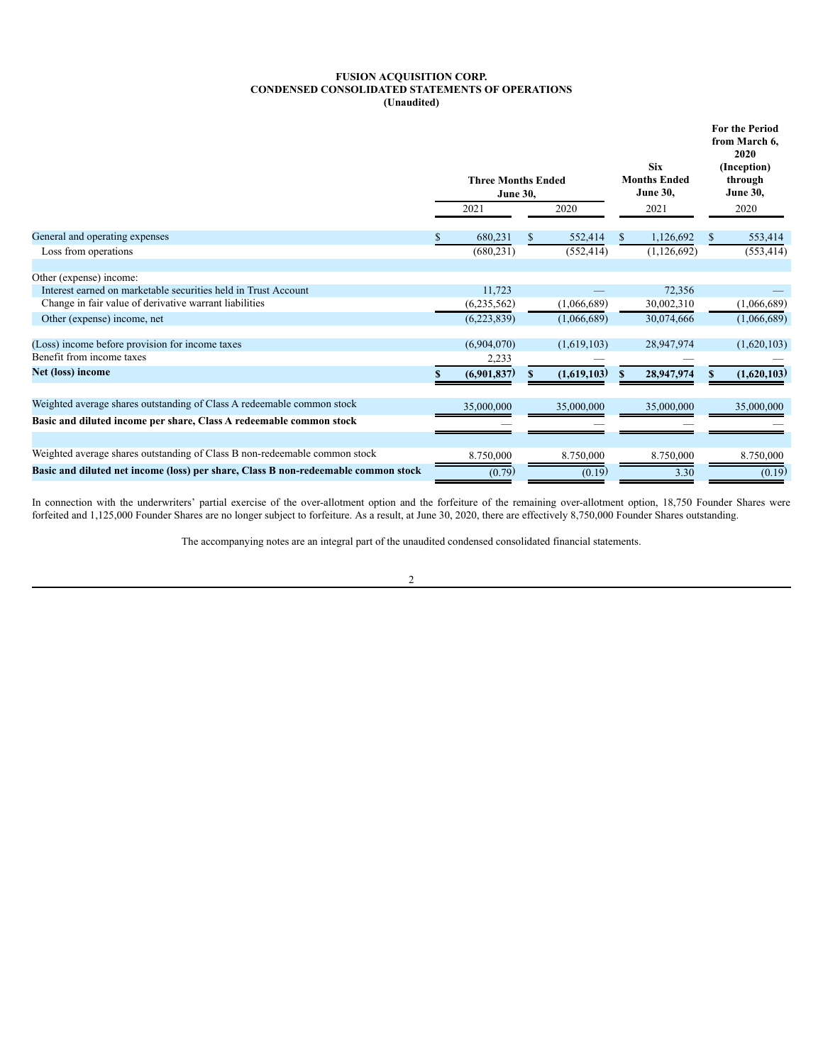# **FUSION ACQUISITION CORP. CONDENSED CONSOLIDATED STATEMENTS OF OPERATIONS (Unaudited)**

<span id="page-3-0"></span>

|                                                                                    | <b>Three Months Ended</b><br><b>June 30,</b> |             |    |             |     | <b>Six</b><br><b>Months Ended</b><br><b>June 30,</b> | <b>For the Period</b><br>from March 6,<br>2020<br>(Inception)<br>through<br><b>June 30,</b> |             |  |
|------------------------------------------------------------------------------------|----------------------------------------------|-------------|----|-------------|-----|------------------------------------------------------|---------------------------------------------------------------------------------------------|-------------|--|
|                                                                                    |                                              | 2021        |    | 2020        |     | 2021                                                 |                                                                                             | 2020        |  |
| General and operating expenses                                                     | S.                                           | 680,231     | \$ | 552,414     | \$. | 1,126,692                                            | \$.                                                                                         | 553,414     |  |
| Loss from operations                                                               |                                              | (680, 231)  |    | (552, 414)  |     | (1,126,692)                                          |                                                                                             | (553, 414)  |  |
| Other (expense) income:                                                            |                                              |             |    |             |     |                                                      |                                                                                             |             |  |
| Interest earned on marketable securities held in Trust Account                     |                                              | 11,723      |    |             |     | 72,356                                               |                                                                                             |             |  |
| Change in fair value of derivative warrant liabilities                             |                                              | (6,235,562) |    | (1,066,689) |     | 30,002,310                                           |                                                                                             | (1,066,689) |  |
| Other (expense) income, net                                                        |                                              | (6,223,839) |    | (1,066,689) |     | 30,074,666                                           |                                                                                             | (1,066,689) |  |
| (Loss) income before provision for income taxes                                    |                                              | (6,904,070) |    | (1,619,103) |     | 28,947,974                                           |                                                                                             | (1,620,103) |  |
| Benefit from income taxes                                                          |                                              | 2,233       |    |             |     |                                                      |                                                                                             |             |  |
| Net (loss) income                                                                  |                                              | (6,901,837) |    | (1,619,103) |     | 28,947,974                                           |                                                                                             | (1,620,103) |  |
| Weighted average shares outstanding of Class A redeemable common stock             |                                              |             |    |             |     |                                                      |                                                                                             |             |  |
|                                                                                    |                                              | 35,000,000  |    | 35,000,000  |     | 35,000,000                                           |                                                                                             | 35,000,000  |  |
| Basic and diluted income per share, Class A redeemable common stock                |                                              |             |    |             |     |                                                      |                                                                                             |             |  |
| Weighted average shares outstanding of Class B non-redeemable common stock         |                                              | 8.750,000   |    | 8.750,000   |     | 8.750,000                                            |                                                                                             | 8.750,000   |  |
| Basic and diluted net income (loss) per share, Class B non-redeemable common stock |                                              | (0.79)      |    | (0.19)      |     | 3.30                                                 |                                                                                             | (0.19)      |  |

In connection with the underwriters' partial exercise of the over-allotment option and the forfeiture of the remaining over-allotment option, 18,750 Founder Shares were forfeited and 1,125,000 Founder Shares are no longer subject to forfeiture. As a result, at June 30, 2020, there are effectively 8,750,000 Founder Shares outstanding.

The accompanying notes are an integral part of the unaudited condensed consolidated financial statements.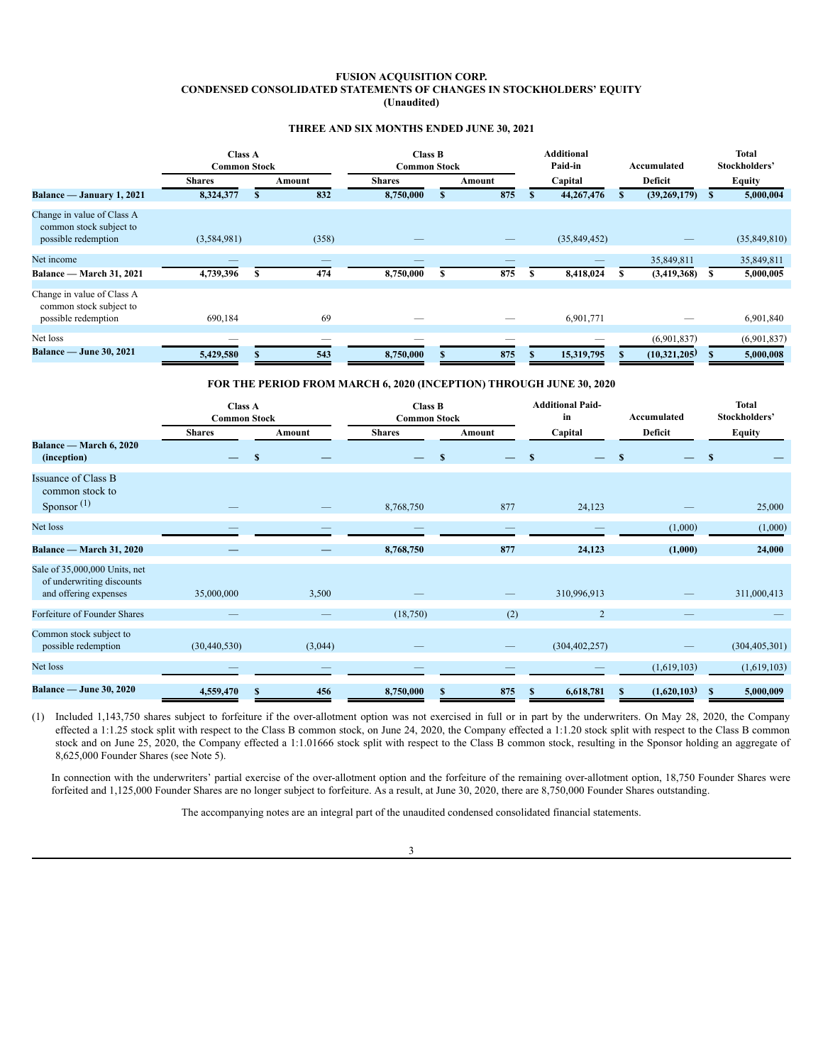# **FUSION ACQUISITION CORP. CONDENSED CONSOLIDATED STATEMENTS OF CHANGES IN STOCKHOLDERS' EQUITY (Unaudited)**

# **THREE AND SIX MONTHS ENDED JUNE 30, 2021**

<span id="page-4-0"></span>

|                                                                              | <b>Class A</b><br><b>Common Stock</b> |   | <b>Class B</b><br><b>Common Stock</b> |               |   | <b>Additional</b><br>Paid-in |  |              | Accumulated | Total<br>Stockholders' |    |               |
|------------------------------------------------------------------------------|---------------------------------------|---|---------------------------------------|---------------|---|------------------------------|--|--------------|-------------|------------------------|----|---------------|
|                                                                              | <b>Shares</b>                         |   | Amount                                | <b>Shares</b> |   | Amount                       |  | Capital      |             | Deficit                |    | <b>Equity</b> |
| Balance — January 1, 2021                                                    | 8,324,377                             | ъ | 832                                   | 8,750,000     | S | 875                          |  | 44,267,476   |             | (39, 269, 179)         | Ъ. | 5,000,004     |
| Change in value of Class A<br>common stock subject to<br>possible redemption | (3,584,981)                           |   | (358)                                 |               |   |                              |  | (35,849,452) |             |                        |    | (35,849,810)  |
| Net income                                                                   |                                       |   |                                       |               |   |                              |  |              |             | 35,849,811             |    | 35,849,811    |
| Balance - March 31, 2021                                                     | 4,739,396                             |   | 474                                   | 8,750,000     | S | 875                          |  | 8,418,024    |             | (3,419,368)            |    | 5,000,005     |
| Change in value of Class A<br>common stock subject to<br>possible redemption | 690,184                               |   | 69                                    |               |   |                              |  | 6,901,771    |             |                        |    | 6,901,840     |
| Net loss                                                                     |                                       |   |                                       |               |   |                              |  |              |             | (6,901,837)            |    | (6,901,837)   |
| <b>Balance — June 30, 2021</b>                                               | 5,429,580                             |   | 543                                   | 8,750,000     |   | 875                          |  | 15,319,795   |             | (10,321,205)           |    | 5,000,008     |

# **FOR THE PERIOD FROM MARCH 6, 2020 (INCEPTION) THROUGH JUNE 30, 2020**

|                                                                                     | <b>Class A</b><br><b>Common Stock</b> |         | <b>Class B</b><br><b>Common Stock</b> |              | <b>Additional Paid-</b><br>in | Accumulated   | <b>Total</b><br>Stockholders' |
|-------------------------------------------------------------------------------------|---------------------------------------|---------|---------------------------------------|--------------|-------------------------------|---------------|-------------------------------|
|                                                                                     | <b>Shares</b>                         | Amount  | <b>Shares</b>                         | Amount       | Capital                       | Deficit       | <b>Equity</b>                 |
| Balance — March 6, 2020<br>(inception)                                              |                                       | S       |                                       | $\mathbf{s}$ | S                             | <sup>\$</sup> | $\mathbf{s}$                  |
| <b>Issuance of Class B</b><br>common stock to                                       |                                       |         |                                       |              |                               |               |                               |
| Sponsor $(1)$                                                                       |                                       |         | 8,768,750                             | 877          | 24,123                        |               | 25,000                        |
| Net loss                                                                            |                                       |         |                                       |              |                               | (1,000)       | (1,000)                       |
| Balance — March 31, 2020                                                            |                                       |         | 8,768,750                             | 877          | 24,123                        | (1,000)       | 24,000                        |
| Sale of 35,000,000 Units, net<br>of underwriting discounts<br>and offering expenses | 35,000,000                            | 3,500   |                                       | —            | 310,996,913                   |               | 311,000,413                   |
|                                                                                     |                                       |         |                                       |              |                               |               |                               |
| Forfeiture of Founder Shares                                                        |                                       |         | (18,750)                              | (2)          | 2                             |               |                               |
| Common stock subject to<br>possible redemption                                      | (30, 440, 530)                        | (3,044) |                                       |              | (304, 402, 257)               |               | (304, 405, 301)               |
| Net loss                                                                            |                                       |         |                                       |              |                               | (1,619,103)   | (1,619,103)                   |
| <b>Balance — June 30, 2020</b>                                                      | 4,559,470                             | 456     | 8,750,000                             | 875<br>S     | 6,618,781                     | (1,620,103)   | 5,000,009<br>S                |

(1) Included 1,143,750 shares subject to forfeiture if the over-allotment option was not exercised in full or in part by the underwriters. On May 28, 2020, the Company effected a 1:1.25 stock split with respect to the Class B common stock, on June 24, 2020, the Company effected a 1:1.20 stock split with respect to the Class B common stock and on June 25, 2020, the Company effected a 1:1.01666 stock split with respect to the Class B common stock, resulting in the Sponsor holding an aggregate of 8,625,000 Founder Shares (see Note 5).

In connection with the underwriters' partial exercise of the over-allotment option and the forfeiture of the remaining over-allotment option, 18,750 Founder Shares were forfeited and 1,125,000 Founder Shares are no longer subject to forfeiture. As a result, at June 30, 2020, there are 8,750,000 Founder Shares outstanding.

The accompanying notes are an integral part of the unaudited condensed consolidated financial statements.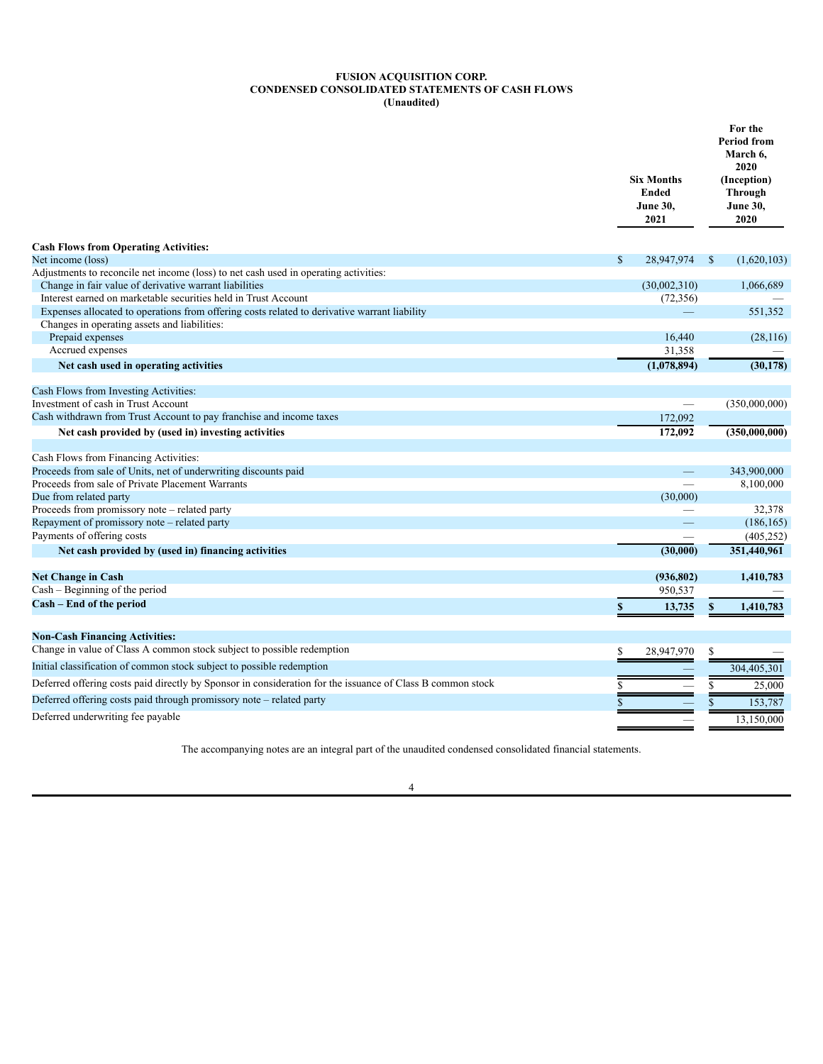### **FUSION ACQUISITION CORP. CONDENSED CONSOLIDATED STATEMENTS OF CASH FLOWS (Unaudited)**

<span id="page-5-0"></span>

|                                                                                                            | <b>Six Months</b><br><b>Ended</b><br><b>June 30,</b><br>2021 | For the<br><b>Period from</b><br>March 6,<br>2020<br>(Inception)<br><b>Through</b><br><b>June 30,</b><br>2020 |
|------------------------------------------------------------------------------------------------------------|--------------------------------------------------------------|---------------------------------------------------------------------------------------------------------------|
| <b>Cash Flows from Operating Activities:</b>                                                               |                                                              |                                                                                                               |
| Net income (loss)                                                                                          | $\mathbb{S}$<br>28,947,974                                   | $\mathbb{S}$<br>(1,620,103)                                                                                   |
| Adjustments to reconcile net income (loss) to net cash used in operating activities:                       |                                                              |                                                                                                               |
| Change in fair value of derivative warrant liabilities                                                     | (30,002,310)                                                 | 1,066,689                                                                                                     |
| Interest earned on marketable securities held in Trust Account                                             | (72, 356)                                                    |                                                                                                               |
| Expenses allocated to operations from offering costs related to derivative warrant liability               |                                                              | 551,352                                                                                                       |
| Changes in operating assets and liabilities:                                                               |                                                              |                                                                                                               |
| Prepaid expenses                                                                                           | 16,440                                                       | (28, 116)                                                                                                     |
| Accrued expenses                                                                                           | 31,358                                                       |                                                                                                               |
| Net cash used in operating activities                                                                      | (1,078,894)                                                  | (30, 178)                                                                                                     |
| Cash Flows from Investing Activities:                                                                      |                                                              |                                                                                                               |
| Investment of cash in Trust Account                                                                        |                                                              | (350,000,000)                                                                                                 |
| Cash withdrawn from Trust Account to pay franchise and income taxes                                        | 172,092                                                      |                                                                                                               |
| Net cash provided by (used in) investing activities                                                        | 172,092                                                      | (350,000,000)                                                                                                 |
| Cash Flows from Financing Activities:                                                                      |                                                              |                                                                                                               |
| Proceeds from sale of Units, net of underwriting discounts paid                                            |                                                              | 343,900,000                                                                                                   |
| Proceeds from sale of Private Placement Warrants                                                           |                                                              | 8,100,000                                                                                                     |
| Due from related party                                                                                     | (30,000)                                                     |                                                                                                               |
| Proceeds from promissory note - related party                                                              |                                                              | 32,378                                                                                                        |
| Repayment of promissory note - related party                                                               |                                                              | (186, 165)                                                                                                    |
| Payments of offering costs                                                                                 |                                                              | (405, 252)                                                                                                    |
| Net cash provided by (used in) financing activities                                                        | (30,000)                                                     | 351,440,961                                                                                                   |
| <b>Net Change in Cash</b>                                                                                  | (936, 802)                                                   | 1,410,783                                                                                                     |
| Cash – Beginning of the period                                                                             | 950.537                                                      |                                                                                                               |
| Cash - End of the period                                                                                   | 13,735<br>\$                                                 | $\pmb{\mathbb{S}}$<br>1,410,783                                                                               |
|                                                                                                            |                                                              |                                                                                                               |
| <b>Non-Cash Financing Activities:</b>                                                                      |                                                              |                                                                                                               |
| Change in value of Class A common stock subject to possible redemption                                     | \$<br>28,947,970                                             | \$                                                                                                            |
| Initial classification of common stock subject to possible redemption                                      |                                                              | 304,405,301                                                                                                   |
| Deferred offering costs paid directly by Sponsor in consideration for the issuance of Class B common stock | \$                                                           | 25,000<br>S                                                                                                   |
| Deferred offering costs paid through promissory note - related party                                       | \$                                                           | 153,787                                                                                                       |
| Deferred underwriting fee payable                                                                          |                                                              | 13.150.000                                                                                                    |

The accompanying notes are an integral part of the unaudited condensed consolidated financial statements.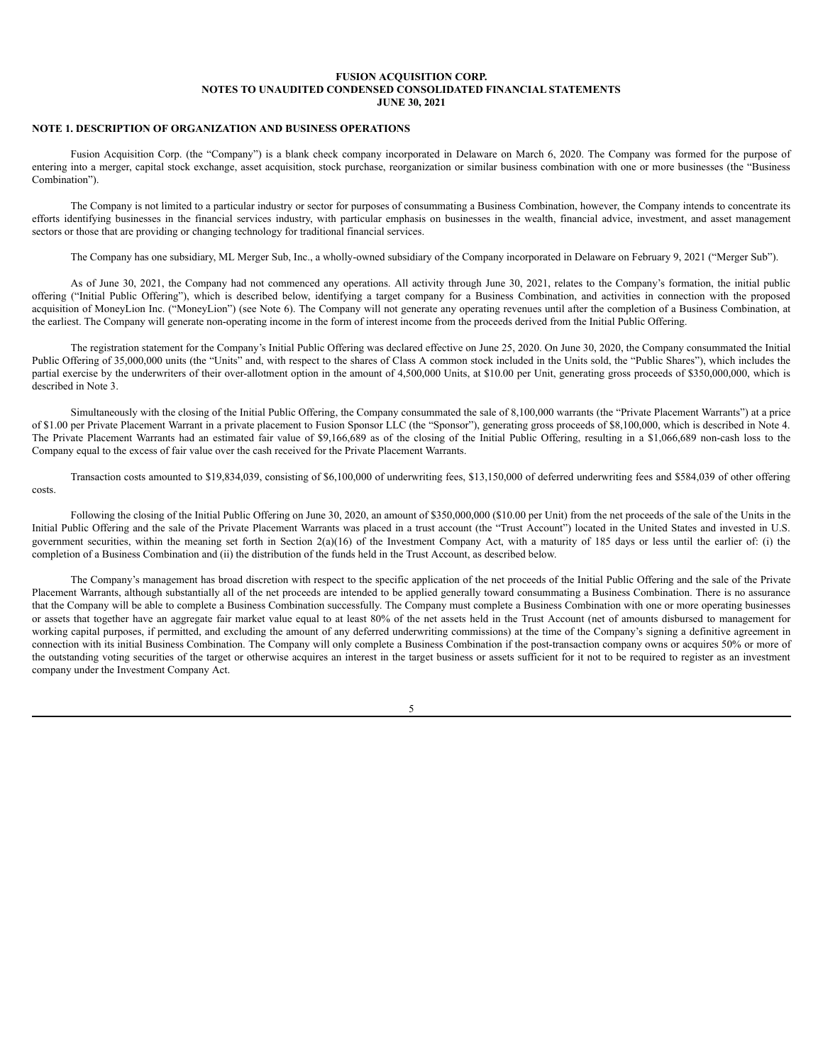# <span id="page-6-0"></span>**NOTE 1. DESCRIPTION OF ORGANIZATION AND BUSINESS OPERATIONS**

Fusion Acquisition Corp. (the "Company") is a blank check company incorporated in Delaware on March 6, 2020. The Company was formed for the purpose of entering into a merger, capital stock exchange, asset acquisition, stock purchase, reorganization or similar business combination with one or more businesses (the "Business Combination").

The Company is not limited to a particular industry or sector for purposes of consummating a Business Combination, however, the Company intends to concentrate its efforts identifying businesses in the financial services industry, with particular emphasis on businesses in the wealth, financial advice, investment, and asset management sectors or those that are providing or changing technology for traditional financial services.

The Company has one subsidiary, ML Merger Sub, Inc., a wholly-owned subsidiary of the Company incorporated in Delaware on February 9, 2021 ("Merger Sub").

As of June 30, 2021, the Company had not commenced any operations. All activity through June 30, 2021, relates to the Company's formation, the initial public offering ("Initial Public Offering"), which is described below, identifying a target company for a Business Combination, and activities in connection with the proposed acquisition of MoneyLion Inc. ("MoneyLion") (see Note 6). The Company will not generate any operating revenues until after the completion of a Business Combination, at the earliest. The Company will generate non-operating income in the form of interest income from the proceeds derived from the Initial Public Offering.

The registration statement for the Company's Initial Public Offering was declared effective on June 25, 2020. On June 30, 2020, the Company consummated the Initial Public Offering of 35,000,000 units (the "Units" and, with respect to the shares of Class A common stock included in the Units sold, the "Public Shares"), which includes the partial exercise by the underwriters of their over-allotment option in the amount of 4,500,000 Units, at \$10.00 per Unit, generating gross proceeds of \$350,000,000, which is described in Note 3.

Simultaneously with the closing of the Initial Public Offering, the Company consummated the sale of 8,100,000 warrants (the "Private Placement Warrants") at a price of \$1.00 per Private Placement Warrant in a private placement to Fusion Sponsor LLC (the "Sponsor"), generating gross proceeds of \$8,100,000, which is described in Note 4. The Private Placement Warrants had an estimated fair value of \$9,166,689 as of the closing of the Initial Public Offering, resulting in a \$1,066,689 non-cash loss to the Company equal to the excess of fair value over the cash received for the Private Placement Warrants.

Transaction costs amounted to \$19,834,039, consisting of \$6,100,000 of underwriting fees, \$13,150,000 of deferred underwriting fees and \$584,039 of other offering costs.

Following the closing of the Initial Public Offering on June 30, 2020, an amount of \$350,000,000 (\$10.00 per Unit) from the net proceeds of the sale of the Units in the Initial Public Offering and the sale of the Private Placement Warrants was placed in a trust account (the "Trust Account") located in the United States and invested in U.S. government securities, within the meaning set forth in Section 2(a)(16) of the Investment Company Act, with a maturity of 185 days or less until the earlier of: (i) the completion of a Business Combination and (ii) the distribution of the funds held in the Trust Account, as described below.

The Company's management has broad discretion with respect to the specific application of the net proceeds of the Initial Public Offering and the sale of the Private Placement Warrants, although substantially all of the net proceeds are intended to be applied generally toward consummating a Business Combination. There is no assurance that the Company will be able to complete a Business Combination successfully. The Company must complete a Business Combination with one or more operating businesses or assets that together have an aggregate fair market value equal to at least 80% of the net assets held in the Trust Account (net of amounts disbursed to management for working capital purposes, if permitted, and excluding the amount of any deferred underwriting commissions) at the time of the Company's signing a definitive agreement in connection with its initial Business Combination. The Company will only complete a Business Combination if the post-transaction company owns or acquires 50% or more of the outstanding voting securities of the target or otherwise acquires an interest in the target business or assets sufficient for it not to be required to register as an investment company under the Investment Company Act.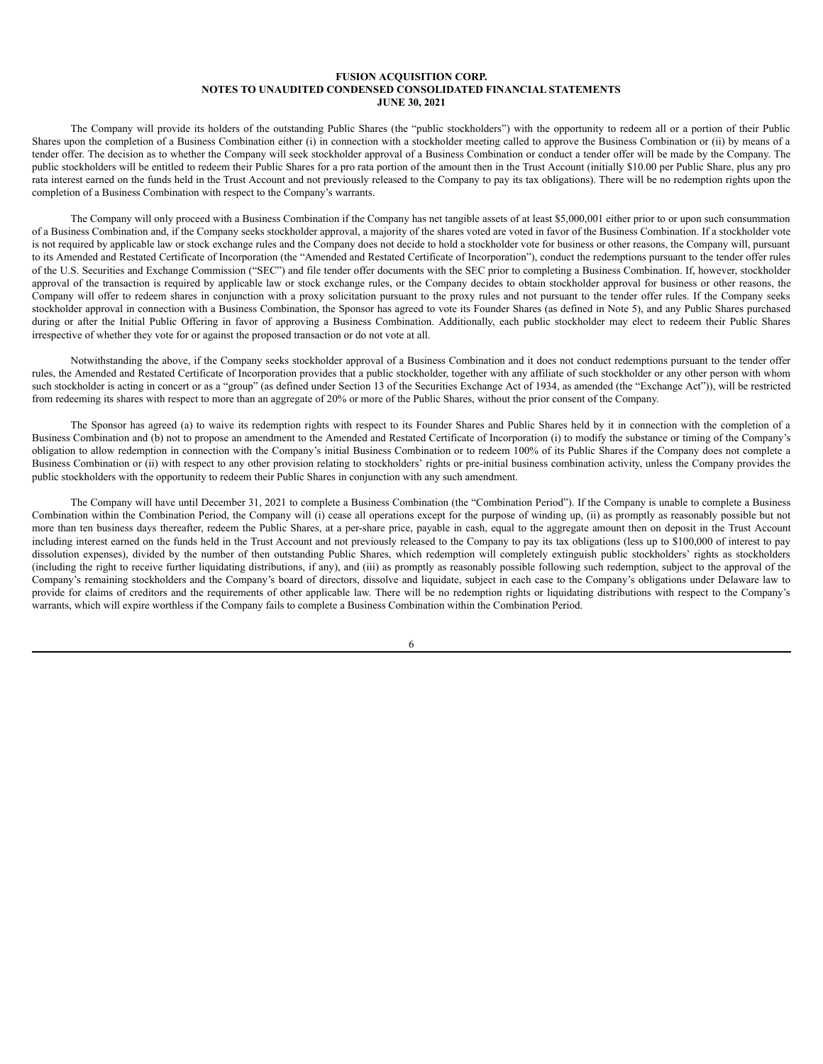The Company will provide its holders of the outstanding Public Shares (the "public stockholders") with the opportunity to redeem all or a portion of their Public Shares upon the completion of a Business Combination either (i) in connection with a stockholder meeting called to approve the Business Combination or (ii) by means of a tender offer. The decision as to whether the Company will seek stockholder approval of a Business Combination or conduct a tender offer will be made by the Company. The public stockholders will be entitled to redeem their Public Shares for a pro rata portion of the amount then in the Trust Account (initially \$10.00 per Public Share, plus any pro rata interest earned on the funds held in the Trust Account and not previously released to the Company to pay its tax obligations). There will be no redemption rights upon the completion of a Business Combination with respect to the Company's warrants.

The Company will only proceed with a Business Combination if the Company has net tangible assets of at least \$5,000,001 either prior to or upon such consummation of a Business Combination and, if the Company seeks stockholder approval, a majority of the shares voted are voted in favor of the Business Combination. If a stockholder vote is not required by applicable law or stock exchange rules and the Company does not decide to hold a stockholder vote for business or other reasons, the Company will, pursuant to its Amended and Restated Certificate of Incorporation (the "Amended and Restated Certificate of Incorporation"), conduct the redemptions pursuant to the tender offer rules of the U.S. Securities and Exchange Commission ("SEC") and file tender offer documents with the SEC prior to completing a Business Combination. If, however, stockholder approval of the transaction is required by applicable law or stock exchange rules, or the Company decides to obtain stockholder approval for business or other reasons, the Company will offer to redeem shares in conjunction with a proxy solicitation pursuant to the proxy rules and not pursuant to the tender offer rules. If the Company seeks stockholder approval in connection with a Business Combination, the Sponsor has agreed to vote its Founder Shares (as defined in Note 5), and any Public Shares purchased during or after the Initial Public Offering in favor of approving a Business Combination. Additionally, each public stockholder may elect to redeem their Public Shares irrespective of whether they vote for or against the proposed transaction or do not vote at all.

Notwithstanding the above, if the Company seeks stockholder approval of a Business Combination and it does not conduct redemptions pursuant to the tender offer rules, the Amended and Restated Certificate of Incorporation provides that a public stockholder, together with any affiliate of such stockholder or any other person with whom such stockholder is acting in concert or as a "group" (as defined under Section 13 of the Securities Exchange Act of 1934, as amended (the "Exchange Act")), will be restricted from redeeming its shares with respect to more than an aggregate of 20% or more of the Public Shares, without the prior consent of the Company.

The Sponsor has agreed (a) to waive its redemption rights with respect to its Founder Shares and Public Shares held by it in connection with the completion of a Business Combination and (b) not to propose an amendment to the Amended and Restated Certificate of Incorporation (i) to modify the substance or timing of the Company's obligation to allow redemption in connection with the Company's initial Business Combination or to redeem 100% of its Public Shares if the Company does not complete a Business Combination or (ii) with respect to any other provision relating to stockholders' rights or pre-initial business combination activity, unless the Company provides the public stockholders with the opportunity to redeem their Public Shares in conjunction with any such amendment.

The Company will have until December 31, 2021 to complete a Business Combination (the "Combination Period"). If the Company is unable to complete a Business Combination within the Combination Period, the Company will (i) cease all operations except for the purpose of winding up, (ii) as promptly as reasonably possible but not more than ten business days thereafter, redeem the Public Shares, at a per-share price, payable in cash, equal to the aggregate amount then on deposit in the Trust Account including interest earned on the funds held in the Trust Account and not previously released to the Company to pay its tax obligations (less up to \$100,000 of interest to pay dissolution expenses), divided by the number of then outstanding Public Shares, which redemption will completely extinguish public stockholders' rights as stockholders (including the right to receive further liquidating distributions, if any), and (iii) as promptly as reasonably possible following such redemption, subject to the approval of the Company's remaining stockholders and the Company's board of directors, dissolve and liquidate, subject in each case to the Company's obligations under Delaware law to provide for claims of creditors and the requirements of other applicable law. There will be no redemption rights or liquidating distributions with respect to the Company's warrants, which will expire worthless if the Company fails to complete a Business Combination within the Combination Period.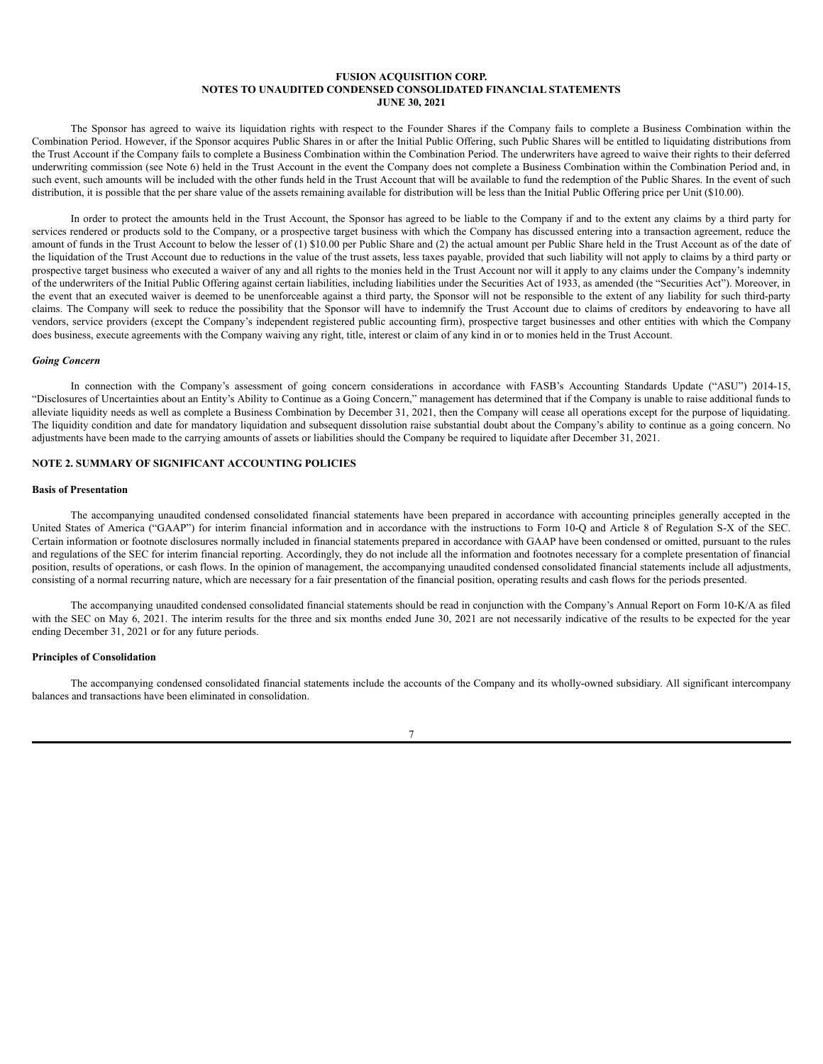The Sponsor has agreed to waive its liquidation rights with respect to the Founder Shares if the Company fails to complete a Business Combination within the Combination Period. However, if the Sponsor acquires Public Shares in or after the Initial Public Offering, such Public Shares will be entitled to liquidating distributions from the Trust Account if the Company fails to complete a Business Combination within the Combination Period. The underwriters have agreed to waive their rights to their deferred underwriting commission (see Note 6) held in the Trust Account in the event the Company does not complete a Business Combination within the Combination Period and, in such event, such amounts will be included with the other funds held in the Trust Account that will be available to fund the redemption of the Public Shares. In the event of such distribution, it is possible that the per share value of the assets remaining available for distribution will be less than the Initial Public Offering price per Unit (\$10.00).

In order to protect the amounts held in the Trust Account, the Sponsor has agreed to be liable to the Company if and to the extent any claims by a third party for services rendered or products sold to the Company, or a prospective target business with which the Company has discussed entering into a transaction agreement, reduce the amount of funds in the Trust Account to below the lesser of (1) \$10.00 per Public Share and (2) the actual amount per Public Share held in the Trust Account as of the date of the liquidation of the Trust Account due to reductions in the value of the trust assets, less taxes payable, provided that such liability will not apply to claims by a third party or prospective target business who executed a waiver of any and all rights to the monies held in the Trust Account nor will it apply to any claims under the Company's indemnity of the underwriters of the Initial Public Offering against certain liabilities, including liabilities under the Securities Act of 1933, as amended (the "Securities Act"). Moreover, in the event that an executed waiver is deemed to be unenforceable against a third party, the Sponsor will not be responsible to the extent of any liability for such third-party claims. The Company will seek to reduce the possibility that the Sponsor will have to indemnify the Trust Account due to claims of creditors by endeavoring to have all vendors, service providers (except the Company's independent registered public accounting firm), prospective target businesses and other entities with which the Company does business, execute agreements with the Company waiving any right, title, interest or claim of any kind in or to monies held in the Trust Account.

## *Going Concern*

In connection with the Company's assessment of going concern considerations in accordance with FASB's Accounting Standards Update ("ASU") 2014-15, "Disclosures of Uncertainties about an Entity's Ability to Continue as a Going Concern," management has determined that if the Company is unable to raise additional funds to alleviate liquidity needs as well as complete a Business Combination by December 31, 2021, then the Company will cease all operations except for the purpose of liquidating. The liquidity condition and date for mandatory liquidation and subsequent dissolution raise substantial doubt about the Company's ability to continue as a going concern. No adjustments have been made to the carrying amounts of assets or liabilities should the Company be required to liquidate after December 31, 2021.

# **NOTE 2. SUMMARY OF SIGNIFICANT ACCOUNTING POLICIES**

# **Basis of Presentation**

The accompanying unaudited condensed consolidated financial statements have been prepared in accordance with accounting principles generally accepted in the United States of America ("GAAP") for interim financial information and in accordance with the instructions to Form 10-Q and Article 8 of Regulation S-X of the SEC. Certain information or footnote disclosures normally included in financial statements prepared in accordance with GAAP have been condensed or omitted, pursuant to the rules and regulations of the SEC for interim financial reporting. Accordingly, they do not include all the information and footnotes necessary for a complete presentation of financial position, results of operations, or cash flows. In the opinion of management, the accompanying unaudited condensed consolidated financial statements include all adjustments, consisting of a normal recurring nature, which are necessary for a fair presentation of the financial position, operating results and cash flows for the periods presented.

The accompanying unaudited condensed consolidated financial statements should be read in conjunction with the Company's Annual Report on Form 10-K/A as filed with the SEC on May 6, 2021. The interim results for the three and six months ended June 30, 2021 are not necessarily indicative of the results to be expected for the year ending December 31, 2021 or for any future periods.

# **Principles of Consolidation**

The accompanying condensed consolidated financial statements include the accounts of the Company and its wholly-owned subsidiary. All significant intercompany balances and transactions have been eliminated in consolidation.

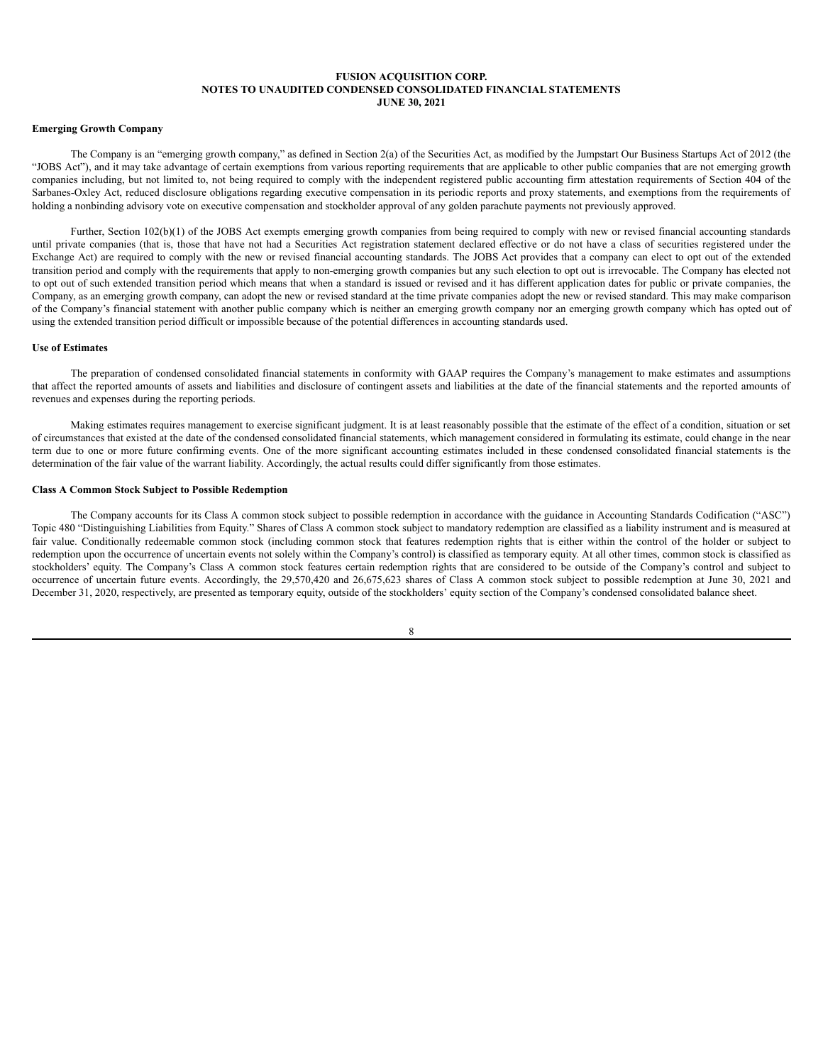# **Emerging Growth Company**

The Company is an "emerging growth company," as defined in Section 2(a) of the Securities Act, as modified by the Jumpstart Our Business Startups Act of 2012 (the "JOBS Act"), and it may take advantage of certain exemptions from various reporting requirements that are applicable to other public companies that are not emerging growth companies including, but not limited to, not being required to comply with the independent registered public accounting firm attestation requirements of Section 404 of the Sarbanes-Oxley Act, reduced disclosure obligations regarding executive compensation in its periodic reports and proxy statements, and exemptions from the requirements of holding a nonbinding advisory vote on executive compensation and stockholder approval of any golden parachute payments not previously approved.

Further, Section 102(b)(1) of the JOBS Act exempts emerging growth companies from being required to comply with new or revised financial accounting standards until private companies (that is, those that have not had a Securities Act registration statement declared effective or do not have a class of securities registered under the Exchange Act) are required to comply with the new or revised financial accounting standards. The JOBS Act provides that a company can elect to opt out of the extended transition period and comply with the requirements that apply to non-emerging growth companies but any such election to opt out is irrevocable. The Company has elected not to opt out of such extended transition period which means that when a standard is issued or revised and it has different application dates for public or private companies, the Company, as an emerging growth company, can adopt the new or revised standard at the time private companies adopt the new or revised standard. This may make comparison of the Company's financial statement with another public company which is neither an emerging growth company nor an emerging growth company which has opted out of using the extended transition period difficult or impossible because of the potential differences in accounting standards used.

# **Use of Estimates**

The preparation of condensed consolidated financial statements in conformity with GAAP requires the Company's management to make estimates and assumptions that affect the reported amounts of assets and liabilities and disclosure of contingent assets and liabilities at the date of the financial statements and the reported amounts of revenues and expenses during the reporting periods.

Making estimates requires management to exercise significant judgment. It is at least reasonably possible that the estimate of the effect of a condition, situation or set of circumstances that existed at the date of the condensed consolidated financial statements, which management considered in formulating its estimate, could change in the near term due to one or more future confirming events. One of the more significant accounting estimates included in these condensed consolidated financial statements is the determination of the fair value of the warrant liability. Accordingly, the actual results could differ significantly from those estimates.

# **Class A Common Stock Subject to Possible Redemption**

The Company accounts for its Class A common stock subject to possible redemption in accordance with the guidance in Accounting Standards Codification ("ASC") Topic 480 "Distinguishing Liabilities from Equity." Shares of Class A common stock subject to mandatory redemption are classified as a liability instrument and is measured at fair value. Conditionally redeemable common stock (including common stock that features redemption rights that is either within the control of the holder or subject to redemption upon the occurrence of uncertain events not solely within the Company's control) is classified as temporary equity. At all other times, common stock is classified as stockholders' equity. The Company's Class A common stock features certain redemption rights that are considered to be outside of the Company's control and subject to occurrence of uncertain future events. Accordingly, the 29,570,420 and 26,675,623 shares of Class A common stock subject to possible redemption at June 30, 2021 and December 31, 2020, respectively, are presented as temporary equity, outside of the stockholders' equity section of the Company's condensed consolidated balance sheet.

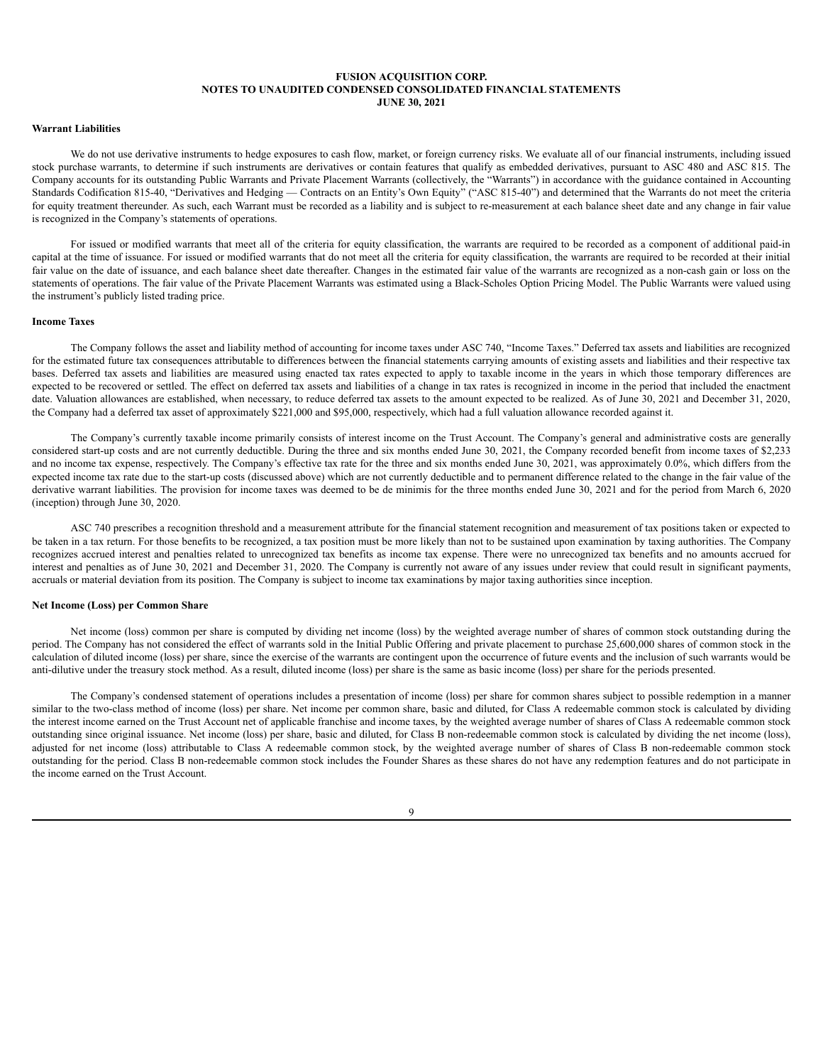# **Warrant Liabilities**

We do not use derivative instruments to hedge exposures to cash flow, market, or foreign currency risks. We evaluate all of our financial instruments, including issued stock purchase warrants, to determine if such instruments are derivatives or contain features that qualify as embedded derivatives, pursuant to ASC 480 and ASC 815. The Company accounts for its outstanding Public Warrants and Private Placement Warrants (collectively, the "Warrants") in accordance with the guidance contained in Accounting Standards Codification 815-40, "Derivatives and Hedging — Contracts on an Entity's Own Equity" ("ASC 815-40") and determined that the Warrants do not meet the criteria for equity treatment thereunder. As such, each Warrant must be recorded as a liability and is subject to re-measurement at each balance sheet date and any change in fair value is recognized in the Company's statements of operations.

For issued or modified warrants that meet all of the criteria for equity classification, the warrants are required to be recorded as a component of additional paid-in capital at the time of issuance. For issued or modified warrants that do not meet all the criteria for equity classification, the warrants are required to be recorded at their initial fair value on the date of issuance, and each balance sheet date thereafter. Changes in the estimated fair value of the warrants are recognized as a non-cash gain or loss on the statements of operations. The fair value of the Private Placement Warrants was estimated using a Black-Scholes Option Pricing Model. The Public Warrants were valued using the instrument's publicly listed trading price.

#### **Income Taxes**

The Company follows the asset and liability method of accounting for income taxes under ASC 740, "Income Taxes." Deferred tax assets and liabilities are recognized for the estimated future tax consequences attributable to differences between the financial statements carrying amounts of existing assets and liabilities and their respective tax bases. Deferred tax assets and liabilities are measured using enacted tax rates expected to apply to taxable income in the years in which those temporary differences are expected to be recovered or settled. The effect on deferred tax assets and liabilities of a change in tax rates is recognized in income in the period that included the enactment date. Valuation allowances are established, when necessary, to reduce deferred tax assets to the amount expected to be realized. As of June 30, 2021 and December 31, 2020, the Company had a deferred tax asset of approximately \$221,000 and \$95,000, respectively, which had a full valuation allowance recorded against it.

The Company's currently taxable income primarily consists of interest income on the Trust Account. The Company's general and administrative costs are generally considered start-up costs and are not currently deductible. During the three and six months ended June 30, 2021, the Company recorded benefit from income taxes of \$2,233 and no income tax expense, respectively. The Company's effective tax rate for the three and six months ended June 30, 2021, was approximately 0.0%, which differs from the expected income tax rate due to the start-up costs (discussed above) which are not currently deductible and to permanent difference related to the change in the fair value of the derivative warrant liabilities. The provision for income taxes was deemed to be de minimis for the three months ended June 30, 2021 and for the period from March 6, 2020 (inception) through June 30, 2020.

ASC 740 prescribes a recognition threshold and a measurement attribute for the financial statement recognition and measurement of tax positions taken or expected to be taken in a tax return. For those benefits to be recognized, a tax position must be more likely than not to be sustained upon examination by taxing authorities. The Company recognizes accrued interest and penalties related to unrecognized tax benefits as income tax expense. There were no unrecognized tax benefits and no amounts accrued for interest and penalties as of June 30, 2021 and December 31, 2020. The Company is currently not aware of any issues under review that could result in significant payments, accruals or material deviation from its position. The Company is subject to income tax examinations by major taxing authorities since inception.

## **Net Income (Loss) per Common Share**

Net income (loss) common per share is computed by dividing net income (loss) by the weighted average number of shares of common stock outstanding during the period. The Company has not considered the effect of warrants sold in the Initial Public Offering and private placement to purchase 25,600,000 shares of common stock in the calculation of diluted income (loss) per share, since the exercise of the warrants are contingent upon the occurrence of future events and the inclusion of such warrants would be anti-dilutive under the treasury stock method. As a result, diluted income (loss) per share is the same as basic income (loss) per share for the periods presented.

The Company's condensed statement of operations includes a presentation of income (loss) per share for common shares subject to possible redemption in a manner similar to the two-class method of income (loss) per share. Net income per common share, basic and diluted, for Class A redeemable common stock is calculated by dividing the interest income earned on the Trust Account net of applicable franchise and income taxes, by the weighted average number of shares of Class A redeemable common stock outstanding since original issuance. Net income (loss) per share, basic and diluted, for Class B non-redeemable common stock is calculated by dividing the net income (loss), adjusted for net income (loss) attributable to Class A redeemable common stock, by the weighted average number of shares of Class B non-redeemable common stock outstanding for the period. Class B non-redeemable common stock includes the Founder Shares as these shares do not have any redemption features and do not participate in the income earned on the Trust Account.

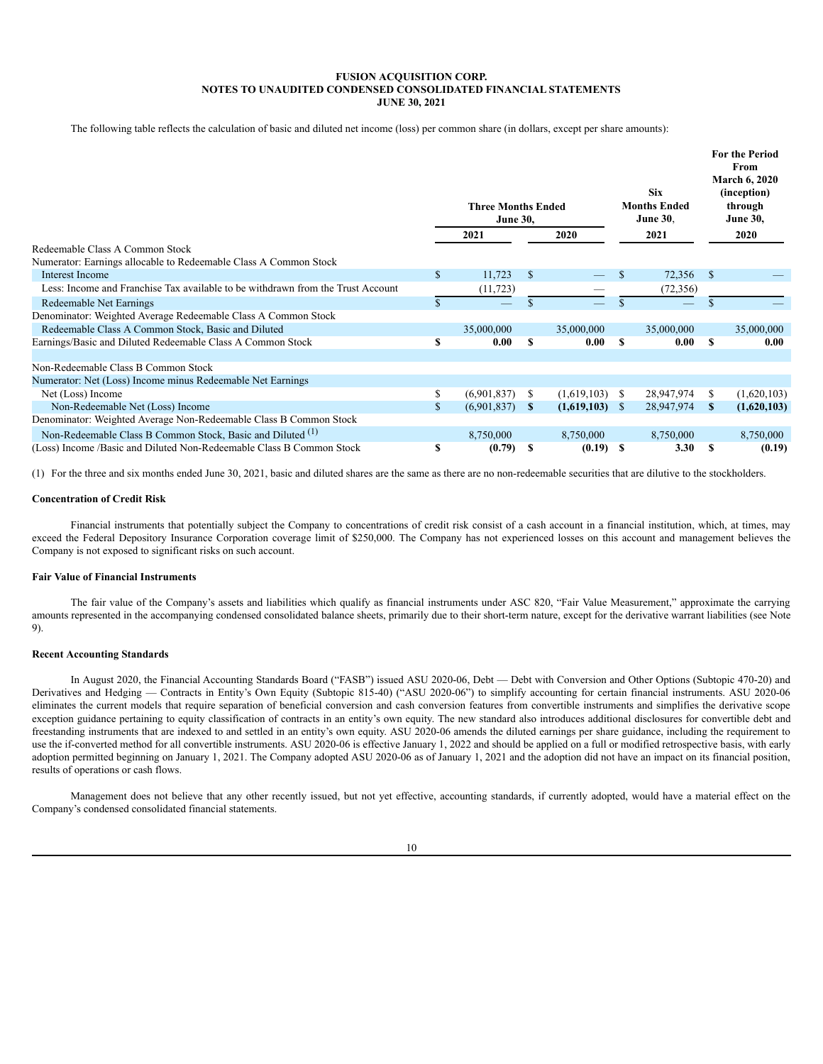The following table reflects the calculation of basic and diluted net income (loss) per common share (in dollars, except per share amounts):

|                                                                                 |              | <b>Three Months Ended</b><br><b>June 30,</b> |               |             |              | <b>Six</b><br><b>Months Ended</b><br><b>June 30.</b> |               | <b>For the Period</b><br>From<br><b>March 6, 2020</b><br>(inception)<br>through<br><b>June 30,</b> |
|---------------------------------------------------------------------------------|--------------|----------------------------------------------|---------------|-------------|--------------|------------------------------------------------------|---------------|----------------------------------------------------------------------------------------------------|
|                                                                                 |              | 2021                                         |               | 2020        |              | 2021                                                 |               | 2020                                                                                               |
| Redeemable Class A Common Stock                                                 |              |                                              |               |             |              |                                                      |               |                                                                                                    |
| Numerator: Earnings allocable to Redeemable Class A Common Stock                |              |                                              |               |             |              |                                                      |               |                                                                                                    |
| Interest Income                                                                 | \$           | 11,723                                       | <sup>\$</sup> |             | S            | 72,356                                               | <sup>\$</sup> |                                                                                                    |
| Less: Income and Franchise Tax available to be withdrawn from the Trust Account |              | (11, 723)                                    |               |             |              | (72, 356)                                            |               |                                                                                                    |
| Redeemable Net Earnings                                                         |              |                                              | S.            |             | S.           |                                                      |               |                                                                                                    |
| Denominator: Weighted Average Redeemable Class A Common Stock                   |              |                                              |               |             |              |                                                      |               |                                                                                                    |
| Redeemable Class A Common Stock, Basic and Diluted                              |              | 35,000,000                                   |               | 35,000,000  |              | 35,000,000                                           |               | 35,000,000                                                                                         |
| Earnings/Basic and Diluted Redeemable Class A Common Stock                      | S            | 0.00                                         | S             | 0.00        | S            | 0.00                                                 | \$            | 0.00                                                                                               |
|                                                                                 |              |                                              |               |             |              |                                                      |               |                                                                                                    |
| Non-Redeemable Class B Common Stock                                             |              |                                              |               |             |              |                                                      |               |                                                                                                    |
| Numerator: Net (Loss) Income minus Redeemable Net Earnings                      |              |                                              |               |             |              |                                                      |               |                                                                                                    |
| Net (Loss) Income                                                               | \$           | (6,901,837)                                  | \$            | (1,619,103) | -S           | 28,947,974                                           | S             | (1,620,103)                                                                                        |
| Non-Redeemable Net (Loss) Income                                                | $\mathbb{S}$ | (6,901,837)                                  | S             | (1,619,103) | <sup>S</sup> | 28,947,974                                           | S             | (1,620,103)                                                                                        |
| Denominator: Weighted Average Non-Redeemable Class B Common Stock               |              |                                              |               |             |              |                                                      |               |                                                                                                    |
| Non-Redeemable Class B Common Stock, Basic and Diluted (1)                      |              | 8,750,000                                    |               | 8,750,000   |              | 8,750,000                                            |               | 8,750,000                                                                                          |
| (Loss) Income /Basic and Diluted Non-Redeemable Class B Common Stock            | s            | (0.79)                                       | S             | (0.19)      | - \$         | 3.30                                                 | S             | (0.19)                                                                                             |

(1) For the three and six months ended June 30, 2021, basic and diluted shares are the same as there are no non-redeemable securities that are dilutive to the stockholders.

# **Concentration of Credit Risk**

Financial instruments that potentially subject the Company to concentrations of credit risk consist of a cash account in a financial institution, which, at times, may exceed the Federal Depository Insurance Corporation coverage limit of \$250,000. The Company has not experienced losses on this account and management believes the Company is not exposed to significant risks on such account.

## **Fair Value of Financial Instruments**

The fair value of the Company's assets and liabilities which qualify as financial instruments under ASC 820, "Fair Value Measurement," approximate the carrying amounts represented in the accompanying condensed consolidated balance sheets, primarily due to their short-term nature, except for the derivative warrant liabilities (see Note 9).

## **Recent Accounting Standards**

In August 2020, the Financial Accounting Standards Board ("FASB") issued ASU 2020-06, Debt — Debt with Conversion and Other Options (Subtopic 470-20) and Derivatives and Hedging — Contracts in Entity's Own Equity (Subtopic 815-40) ("ASU 2020-06") to simplify accounting for certain financial instruments. ASU 2020-06 eliminates the current models that require separation of beneficial conversion and cash conversion features from convertible instruments and simplifies the derivative scope exception guidance pertaining to equity classification of contracts in an entity's own equity. The new standard also introduces additional disclosures for convertible debt and freestanding instruments that are indexed to and settled in an entity's own equity. ASU 2020-06 amends the diluted earnings per share guidance, including the requirement to use the if-converted method for all convertible instruments. ASU 2020-06 is effective January 1, 2022 and should be applied on a full or modified retrospective basis, with early adoption permitted beginning on January 1, 2021. The Company adopted ASU 2020-06 as of January 1, 2021 and the adoption did not have an impact on its financial position, results of operations or cash flows.

Management does not believe that any other recently issued, but not yet effective, accounting standards, if currently adopted, would have a material effect on the Company's condensed consolidated financial statements.

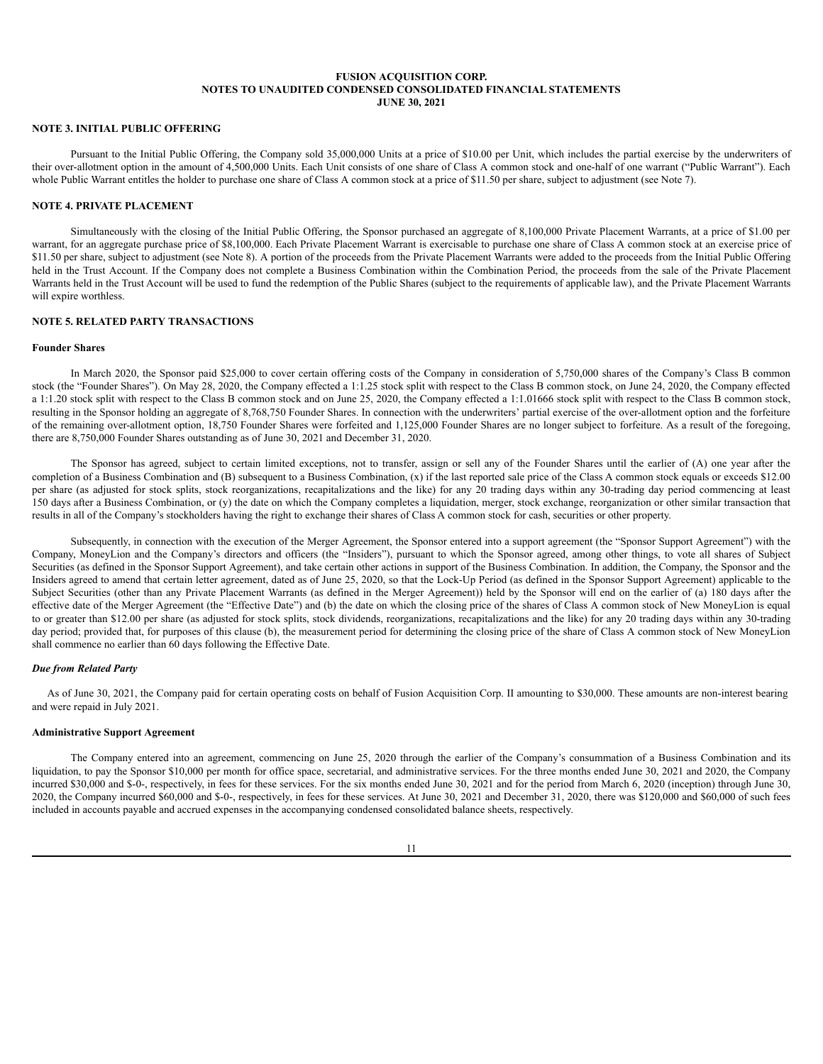# **NOTE 3. INITIAL PUBLIC OFFERING**

Pursuant to the Initial Public Offering, the Company sold 35,000,000 Units at a price of \$10.00 per Unit, which includes the partial exercise by the underwriters of their over-allotment option in the amount of 4,500,000 Units. Each Unit consists of one share of Class A common stock and one-half of one warrant ("Public Warrant"). Each whole Public Warrant entitles the holder to purchase one share of Class A common stock at a price of \$11.50 per share, subject to adjustment (see Note 7).

# **NOTE 4. PRIVATE PLACEMENT**

Simultaneously with the closing of the Initial Public Offering, the Sponsor purchased an aggregate of 8,100,000 Private Placement Warrants, at a price of \$1.00 per warrant, for an aggregate purchase price of \$8,100,000. Each Private Placement Warrant is exercisable to purchase one share of Class A common stock at an exercise price of \$11.50 per share, subject to adjustment (see Note 8). A portion of the proceeds from the Private Placement Warrants were added to the proceeds from the Initial Public Offering held in the Trust Account. If the Company does not complete a Business Combination within the Combination Period, the proceeds from the sale of the Private Placement Warrants held in the Trust Account will be used to fund the redemption of the Public Shares (subject to the requirements of applicable law), and the Private Placement Warrants will expire worthless.

## **NOTE 5. RELATED PARTY TRANSACTIONS**

### **Founder Shares**

In March 2020, the Sponsor paid \$25,000 to cover certain offering costs of the Company in consideration of 5,750,000 shares of the Company's Class B common stock (the "Founder Shares"). On May 28, 2020, the Company effected a 1:1.25 stock split with respect to the Class B common stock, on June 24, 2020, the Company effected a 1:1.20 stock split with respect to the Class B common stock and on June 25, 2020, the Company effected a 1:1.01666 stock split with respect to the Class B common stock, resulting in the Sponsor holding an aggregate of 8,768,750 Founder Shares. In connection with the underwriters' partial exercise of the over-allotment option and the forfeiture of the remaining over-allotment option, 18,750 Founder Shares were forfeited and 1,125,000 Founder Shares are no longer subject to forfeiture. As a result of the foregoing, there are 8,750,000 Founder Shares outstanding as of June 30, 2021 and December 31, 2020.

The Sponsor has agreed, subject to certain limited exceptions, not to transfer, assign or sell any of the Founder Shares until the earlier of (A) one year after the completion of a Business Combination and (B) subsequent to a Business Combination, (x) if the last reported sale price of the Class A common stock equals or exceeds \$12.00 per share (as adjusted for stock splits, stock reorganizations, recapitalizations and the like) for any 20 trading days within any 30-trading day period commencing at least 150 days after a Business Combination, or (y) the date on which the Company completes a liquidation, merger, stock exchange, reorganization or other similar transaction that results in all of the Company's stockholders having the right to exchange their shares of Class A common stock for cash, securities or other property.

Subsequently, in connection with the execution of the Merger Agreement, the Sponsor entered into a support agreement (the "Sponsor Support Agreement") with the Company, MoneyLion and the Company's directors and officers (the "Insiders"), pursuant to which the Sponsor agreed, among other things, to vote all shares of Subject Securities (as defined in the Sponsor Support Agreement), and take certain other actions in support of the Business Combination. In addition, the Company, the Sponsor and the Insiders agreed to amend that certain letter agreement, dated as of June 25, 2020, so that the Lock-Up Period (as defined in the Sponsor Support Agreement) applicable to the Subject Securities (other than any Private Placement Warrants (as defined in the Merger Agreement)) held by the Sponsor will end on the earlier of (a) 180 days after the effective date of the Merger Agreement (the "Effective Date") and (b) the date on which the closing price of the shares of Class A common stock of New MoneyLion is equal to or greater than \$12.00 per share (as adjusted for stock splits, stock dividends, reorganizations, recapitalizations and the like) for any 20 trading days within any 30-trading day period; provided that, for purposes of this clause (b), the measurement period for determining the closing price of the share of Class A common stock of New MoneyLion shall commence no earlier than 60 days following the Effective Date.

#### *Due from Related Party*

As of June 30, 2021, the Company paid for certain operating costs on behalf of Fusion Acquisition Corp. II amounting to \$30,000. These amounts are non-interest bearing and were repaid in July 2021.

# **Administrative Support Agreement**

The Company entered into an agreement, commencing on June 25, 2020 through the earlier of the Company's consummation of a Business Combination and its liquidation, to pay the Sponsor \$10,000 per month for office space, secretarial, and administrative services. For the three months ended June 30, 2021 and 2020, the Company incurred \$30,000 and \$-0-, respectively, in fees for these services. For the six months ended June 30, 2021 and for the period from March 6, 2020 (inception) through June 30, 2020, the Company incurred \$60,000 and \$-0-, respectively, in fees for these services. At June 30, 2021 and December 31, 2020, there was \$120,000 and \$60,000 of such fees included in accounts payable and accrued expenses in the accompanying condensed consolidated balance sheets, respectively.

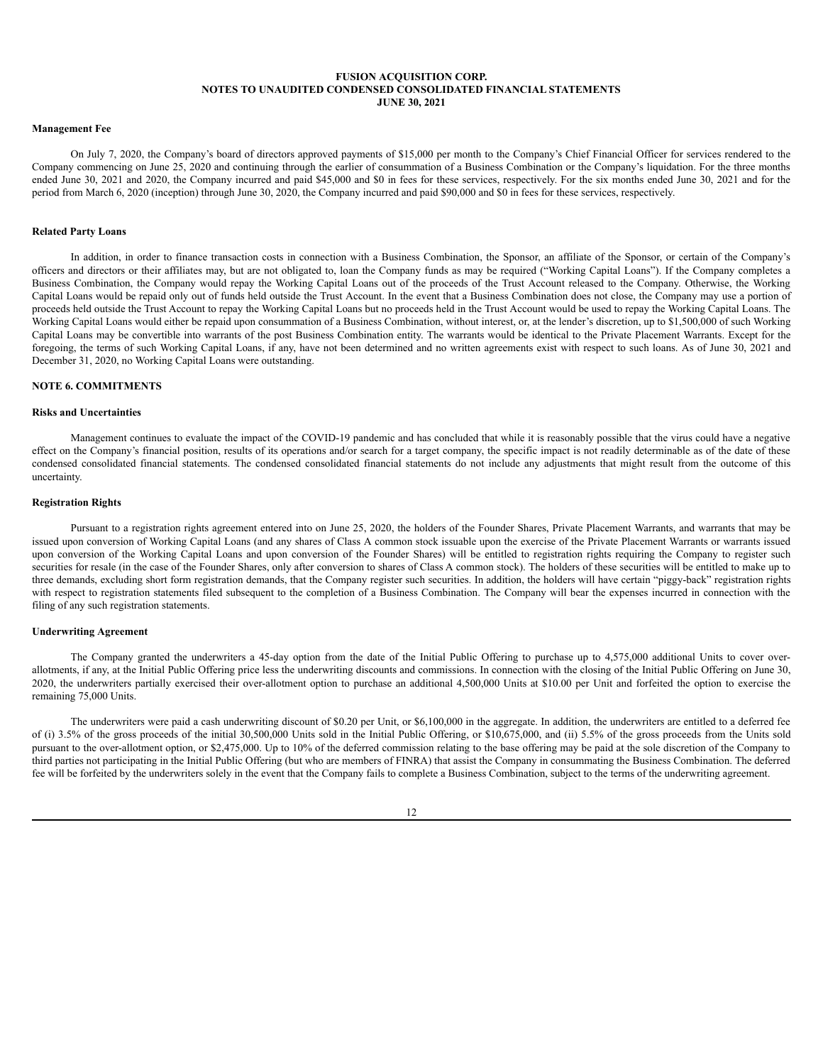### **Management Fee**

On July 7, 2020, the Company's board of directors approved payments of \$15,000 per month to the Company's Chief Financial Officer for services rendered to the Company commencing on June 25, 2020 and continuing through the earlier of consummation of a Business Combination or the Company's liquidation. For the three months ended June 30, 2021 and 2020, the Company incurred and paid \$45,000 and \$0 in fees for these services, respectively. For the six months ended June 30, 2021 and for the period from March 6, 2020 (inception) through June 30, 2020, the Company incurred and paid \$90,000 and \$0 in fees for these services, respectively.

#### **Related Party Loans**

In addition, in order to finance transaction costs in connection with a Business Combination, the Sponsor, an affiliate of the Sponsor, or certain of the Company's officers and directors or their affiliates may, but are not obligated to, loan the Company funds as may be required ("Working Capital Loans"). If the Company completes a Business Combination, the Company would repay the Working Capital Loans out of the proceeds of the Trust Account released to the Company. Otherwise, the Working Capital Loans would be repaid only out of funds held outside the Trust Account. In the event that a Business Combination does not close, the Company may use a portion of proceeds held outside the Trust Account to repay the Working Capital Loans but no proceeds held in the Trust Account would be used to repay the Working Capital Loans. The Working Capital Loans would either be repaid upon consummation of a Business Combination, without interest, or, at the lender's discretion, up to \$1,500,000 of such Working Capital Loans may be convertible into warrants of the post Business Combination entity. The warrants would be identical to the Private Placement Warrants. Except for the foregoing, the terms of such Working Capital Loans, if any, have not been determined and no written agreements exist with respect to such loans. As of June 30, 2021 and December 31, 2020, no Working Capital Loans were outstanding.

#### **NOTE 6. COMMITMENTS**

# **Risks and Uncertainties**

Management continues to evaluate the impact of the COVID-19 pandemic and has concluded that while it is reasonably possible that the virus could have a negative effect on the Company's financial position, results of its operations and/or search for a target company, the specific impact is not readily determinable as of the date of these condensed consolidated financial statements. The condensed consolidated financial statements do not include any adjustments that might result from the outcome of this uncertainty.

#### **Registration Rights**

Pursuant to a registration rights agreement entered into on June 25, 2020, the holders of the Founder Shares, Private Placement Warrants, and warrants that may be issued upon conversion of Working Capital Loans (and any shares of Class A common stock issuable upon the exercise of the Private Placement Warrants or warrants issued upon conversion of the Working Capital Loans and upon conversion of the Founder Shares) will be entitled to registration rights requiring the Company to register such securities for resale (in the case of the Founder Shares, only after conversion to shares of Class A common stock). The holders of these securities will be entitled to make up to three demands, excluding short form registration demands, that the Company register such securities. In addition, the holders will have certain "piggy-back" registration rights with respect to registration statements filed subsequent to the completion of a Business Combination. The Company will bear the expenses incurred in connection with the filing of any such registration statements.

# **Underwriting Agreement**

The Company granted the underwriters a 45-day option from the date of the Initial Public Offering to purchase up to 4,575,000 additional Units to cover overallotments, if any, at the Initial Public Offering price less the underwriting discounts and commissions. In connection with the closing of the Initial Public Offering on June 30, 2020, the underwriters partially exercised their over-allotment option to purchase an additional 4,500,000 Units at \$10.00 per Unit and forfeited the option to exercise the remaining 75,000 Units.

The underwriters were paid a cash underwriting discount of \$0.20 per Unit, or \$6,100,000 in the aggregate. In addition, the underwriters are entitled to a deferred fee of (i) 3.5% of the gross proceeds of the initial 30,500,000 Units sold in the Initial Public Offering, or \$10,675,000, and (ii) 5.5% of the gross proceeds from the Units sold pursuant to the over-allotment option, or \$2,475,000. Up to 10% of the deferred commission relating to the base offering may be paid at the sole discretion of the Company to third parties not participating in the Initial Public Offering (but who are members of FINRA) that assist the Company in consummating the Business Combination. The deferred fee will be forfeited by the underwriters solely in the event that the Company fails to complete a Business Combination, subject to the terms of the underwriting agreement.

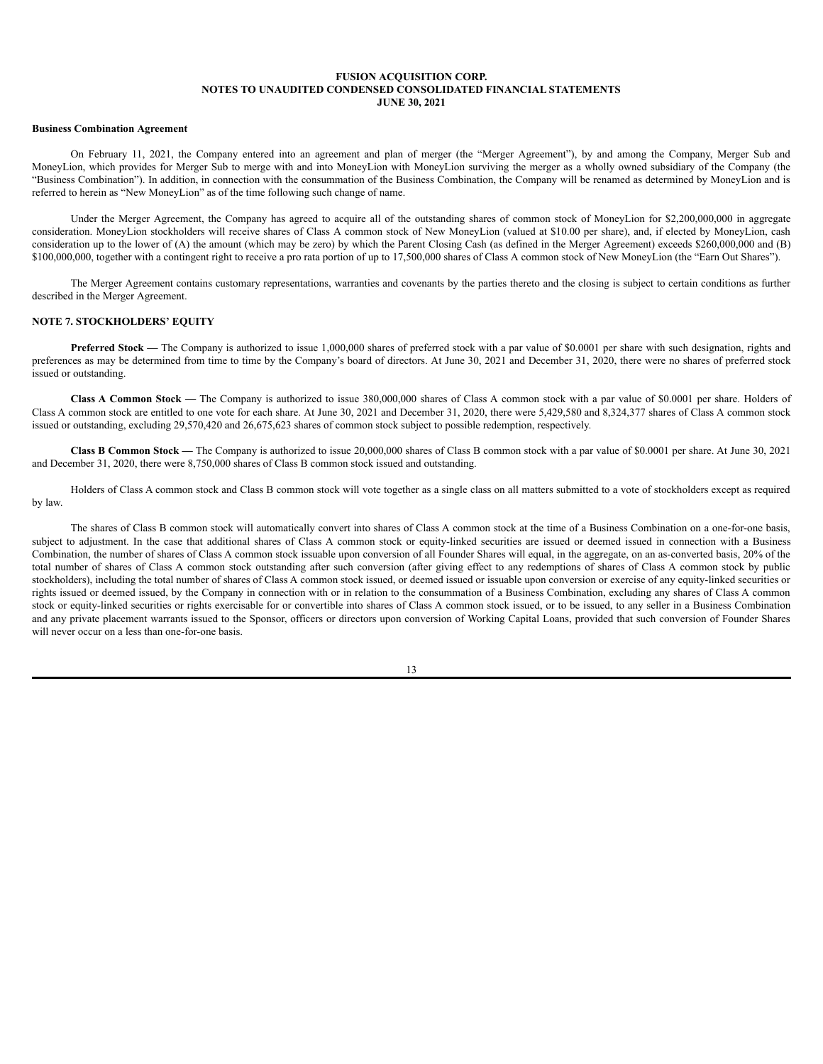### **Business Combination Agreement**

On February 11, 2021, the Company entered into an agreement and plan of merger (the "Merger Agreement"), by and among the Company, Merger Sub and MoneyLion, which provides for Merger Sub to merge with and into MoneyLion with MoneyLion surviving the merger as a wholly owned subsidiary of the Company (the "Business Combination"). In addition, in connection with the consummation of the Business Combination, the Company will be renamed as determined by MoneyLion and is referred to herein as "New MoneyLion" as of the time following such change of name.

Under the Merger Agreement, the Company has agreed to acquire all of the outstanding shares of common stock of MoneyLion for \$2,200,000,000 in aggregate consideration. MoneyLion stockholders will receive shares of Class A common stock of New MoneyLion (valued at \$10.00 per share), and, if elected by MoneyLion, cash consideration up to the lower of (A) the amount (which may be zero) by which the Parent Closing Cash (as defined in the Merger Agreement) exceeds \$260,000,000 and (B) \$100,000,000, together with a contingent right to receive a pro rata portion of up to 17,500,000 shares of Class A common stock of New MoneyLion (the "Earn Out Shares").

The Merger Agreement contains customary representations, warranties and covenants by the parties thereto and the closing is subject to certain conditions as further described in the Merger Agreement.

#### **NOTE 7. STOCKHOLDERS' EQUITY**

**Preferred Stock** — The Company is authorized to issue 1,000,000 shares of preferred stock with a par value of \$0.0001 per share with such designation, rights and preferences as may be determined from time to time by the Company's board of directors. At June 30, 2021 and December 31, 2020, there were no shares of preferred stock issued or outstanding.

**Class A Common Stock —** The Company is authorized to issue 380,000,000 shares of Class A common stock with a par value of \$0.0001 per share. Holders of Class A common stock are entitled to one vote for each share. At June 30, 2021 and December 31, 2020, there were 5,429,580 and 8,324,377 shares of Class A common stock issued or outstanding, excluding 29,570,420 and 26,675,623 shares of common stock subject to possible redemption, respectively.

**Class B Common Stock —** The Company is authorized to issue 20,000,000 shares of Class B common stock with a par value of \$0.0001 per share. At June 30, 2021 and December 31, 2020, there were 8,750,000 shares of Class B common stock issued and outstanding.

Holders of Class A common stock and Class B common stock will vote together as a single class on all matters submitted to a vote of stockholders except as required by law.

The shares of Class B common stock will automatically convert into shares of Class A common stock at the time of a Business Combination on a one-for-one basis, subject to adjustment. In the case that additional shares of Class A common stock or equity-linked securities are issued or deemed issued in connection with a Business Combination, the number of shares of Class A common stock issuable upon conversion of all Founder Shares will equal, in the aggregate, on an as-converted basis, 20% of the total number of shares of Class A common stock outstanding after such conversion (after giving effect to any redemptions of shares of Class A common stock by public stockholders), including the total number of shares of Class A common stock issued, or deemed issued or issuable upon conversion or exercise of any equity-linked securities or rights issued or deemed issued, by the Company in connection with or in relation to the consummation of a Business Combination, excluding any shares of Class A common stock or equity-linked securities or rights exercisable for or convertible into shares of Class A common stock issued, or to be issued, to any seller in a Business Combination and any private placement warrants issued to the Sponsor, officers or directors upon conversion of Working Capital Loans, provided that such conversion of Founder Shares will never occur on a less than one-for-one basis.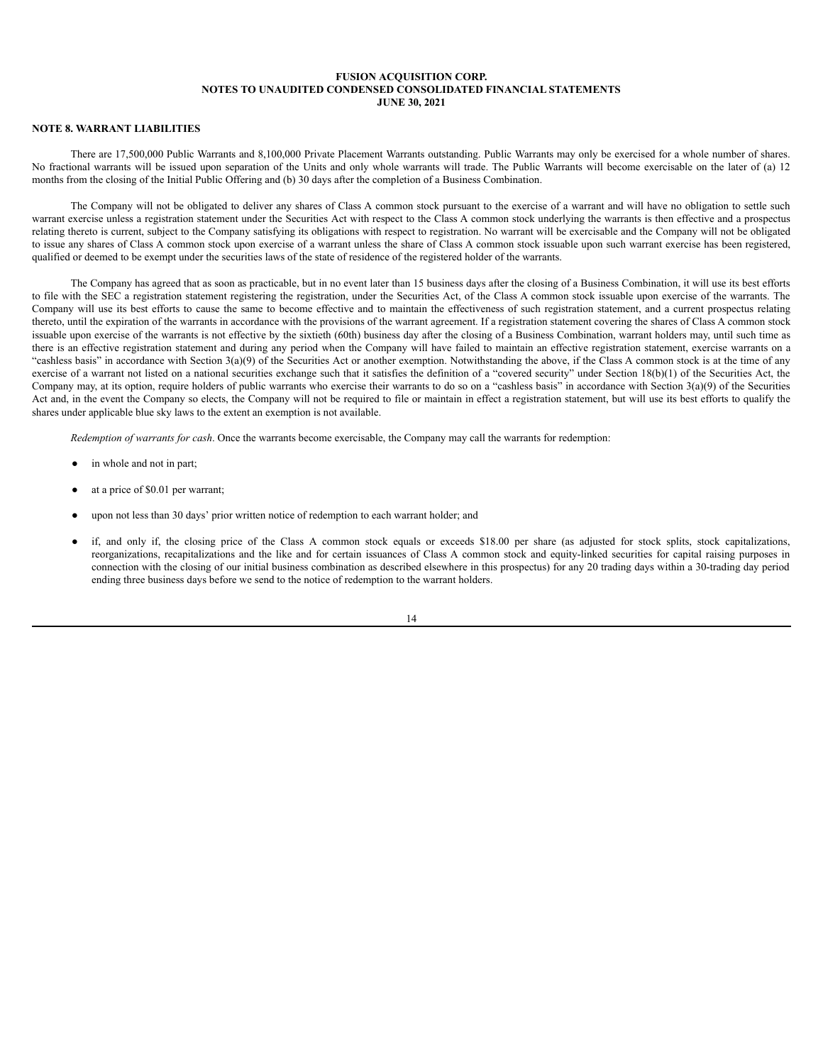# **NOTE 8. WARRANT LIABILITIES**

There are 17,500,000 Public Warrants and 8,100,000 Private Placement Warrants outstanding. Public Warrants may only be exercised for a whole number of shares. No fractional warrants will be issued upon separation of the Units and only whole warrants will trade. The Public Warrants will become exercisable on the later of (a) 12 months from the closing of the Initial Public Offering and (b) 30 days after the completion of a Business Combination.

The Company will not be obligated to deliver any shares of Class A common stock pursuant to the exercise of a warrant and will have no obligation to settle such warrant exercise unless a registration statement under the Securities Act with respect to the Class A common stock underlying the warrants is then effective and a prospectus relating thereto is current, subject to the Company satisfying its obligations with respect to registration. No warrant will be exercisable and the Company will not be obligated to issue any shares of Class A common stock upon exercise of a warrant unless the share of Class A common stock issuable upon such warrant exercise has been registered, qualified or deemed to be exempt under the securities laws of the state of residence of the registered holder of the warrants.

The Company has agreed that as soon as practicable, but in no event later than 15 business days after the closing of a Business Combination, it will use its best efforts to file with the SEC a registration statement registering the registration, under the Securities Act, of the Class A common stock issuable upon exercise of the warrants. The Company will use its best efforts to cause the same to become effective and to maintain the effectiveness of such registration statement, and a current prospectus relating thereto, until the expiration of the warrants in accordance with the provisions of the warrant agreement. If a registration statement covering the shares of Class A common stock issuable upon exercise of the warrants is not effective by the sixtieth (60th) business day after the closing of a Business Combination, warrant holders may, until such time as there is an effective registration statement and during any period when the Company will have failed to maintain an effective registration statement, exercise warrants on a "cashless basis" in accordance with Section  $3(a)(9)$  of the Securities Act or another exemption. Notwithstanding the above, if the Class A common stock is at the time of any exercise of a warrant not listed on a national securities exchange such that it satisfies the definition of a "covered security" under Section 18(b)(1) of the Securities Act, the Company may, at its option, require holders of public warrants who exercise their warrants to do so on a "cashless basis" in accordance with Section  $3(a)(9)$  of the Securities Act and, in the event the Company so elects, the Company will not be required to file or maintain in effect a registration statement, but will use its best efforts to qualify the shares under applicable blue sky laws to the extent an exemption is not available.

*Redemption of warrants for cash*. Once the warrants become exercisable, the Company may call the warrants for redemption:

- in whole and not in part;
- at a price of \$0.01 per warrant;
- upon not less than 30 days' prior written notice of redemption to each warrant holder; and
- if, and only if, the closing price of the Class A common stock equals or exceeds \$18.00 per share (as adjusted for stock splits, stock capitalizations, reorganizations, recapitalizations and the like and for certain issuances of Class A common stock and equity-linked securities for capital raising purposes in connection with the closing of our initial business combination as described elsewhere in this prospectus) for any 20 trading days within a 30-trading day period ending three business days before we send to the notice of redemption to the warrant holders.

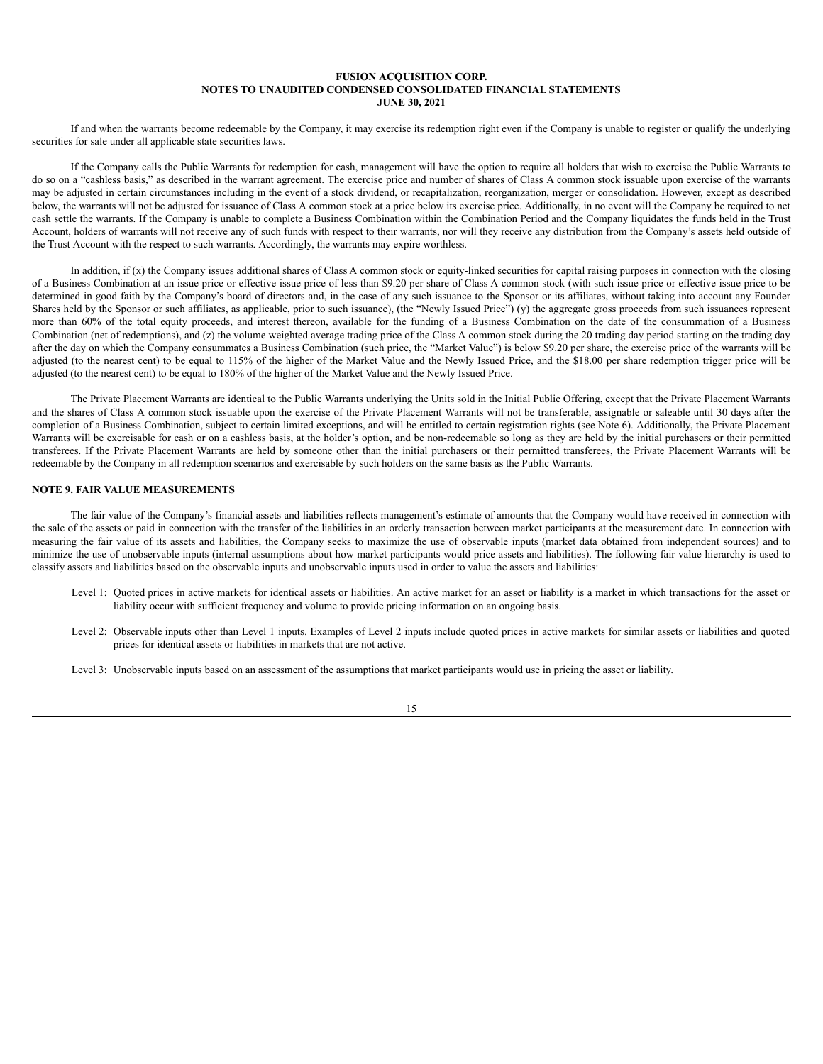If and when the warrants become redeemable by the Company, it may exercise its redemption right even if the Company is unable to register or qualify the underlying securities for sale under all applicable state securities laws.

If the Company calls the Public Warrants for redemption for cash, management will have the option to require all holders that wish to exercise the Public Warrants to do so on a "cashless basis," as described in the warrant agreement. The exercise price and number of shares of Class A common stock issuable upon exercise of the warrants may be adjusted in certain circumstances including in the event of a stock dividend, or recapitalization, reorganization, merger or consolidation. However, except as described below, the warrants will not be adjusted for issuance of Class A common stock at a price below its exercise price. Additionally, in no event will the Company be required to net cash settle the warrants. If the Company is unable to complete a Business Combination within the Combination Period and the Company liquidates the funds held in the Trust Account, holders of warrants will not receive any of such funds with respect to their warrants, nor will they receive any distribution from the Company's assets held outside of the Trust Account with the respect to such warrants. Accordingly, the warrants may expire worthless.

In addition, if  $(x)$  the Company issues additional shares of Class A common stock or equity-linked securities for capital raising purposes in connection with the closing of a Business Combination at an issue price or effective issue price of less than \$9.20 per share of Class A common stock (with such issue price or effective issue price to be determined in good faith by the Company's board of directors and, in the case of any such issuance to the Sponsor or its affiliates, without taking into account any Founder Shares held by the Sponsor or such affiliates, as applicable, prior to such issuance), (the "Newly Issued Price") (y) the aggregate gross proceeds from such issuances represent more than 60% of the total equity proceeds, and interest thereon, available for the funding of a Business Combination on the date of the consummation of a Business Combination (net of redemptions), and (z) the volume weighted average trading price of the Class A common stock during the 20 trading day period starting on the trading day after the day on which the Company consummates a Business Combination (such price, the "Market Value") is below \$9.20 per share, the exercise price of the warrants will be adjusted (to the nearest cent) to be equal to 115% of the higher of the Market Value and the Newly Issued Price, and the \$18.00 per share redemption trigger price will be adjusted (to the nearest cent) to be equal to 180% of the higher of the Market Value and the Newly Issued Price.

The Private Placement Warrants are identical to the Public Warrants underlying the Units sold in the Initial Public Offering, except that the Private Placement Warrants and the shares of Class A common stock issuable upon the exercise of the Private Placement Warrants will not be transferable, assignable or saleable until 30 days after the completion of a Business Combination, subject to certain limited exceptions, and will be entitled to certain registration rights (see Note 6). Additionally, the Private Placement Warrants will be exercisable for cash or on a cashless basis, at the holder's option, and be non-redeemable so long as they are held by the initial purchasers or their permitted transferees. If the Private Placement Warrants are held by someone other than the initial purchasers or their permitted transferees, the Private Placement Warrants will be redeemable by the Company in all redemption scenarios and exercisable by such holders on the same basis as the Public Warrants.

## **NOTE 9. FAIR VALUE MEASUREMENTS**

The fair value of the Company's financial assets and liabilities reflects management's estimate of amounts that the Company would have received in connection with the sale of the assets or paid in connection with the transfer of the liabilities in an orderly transaction between market participants at the measurement date. In connection with measuring the fair value of its assets and liabilities, the Company seeks to maximize the use of observable inputs (market data obtained from independent sources) and to minimize the use of unobservable inputs (internal assumptions about how market participants would price assets and liabilities). The following fair value hierarchy is used to classify assets and liabilities based on the observable inputs and unobservable inputs used in order to value the assets and liabilities:

- Level 1: Quoted prices in active markets for identical assets or liabilities. An active market for an asset or liability is a market in which transactions for the asset or liability occur with sufficient frequency and volume to provide pricing information on an ongoing basis.
- Level 2: Observable inputs other than Level 1 inputs. Examples of Level 2 inputs include quoted prices in active markets for similar assets or liabilities and quoted prices for identical assets or liabilities in markets that are not active.
- Level 3: Unobservable inputs based on an assessment of the assumptions that market participants would use in pricing the asset or liability.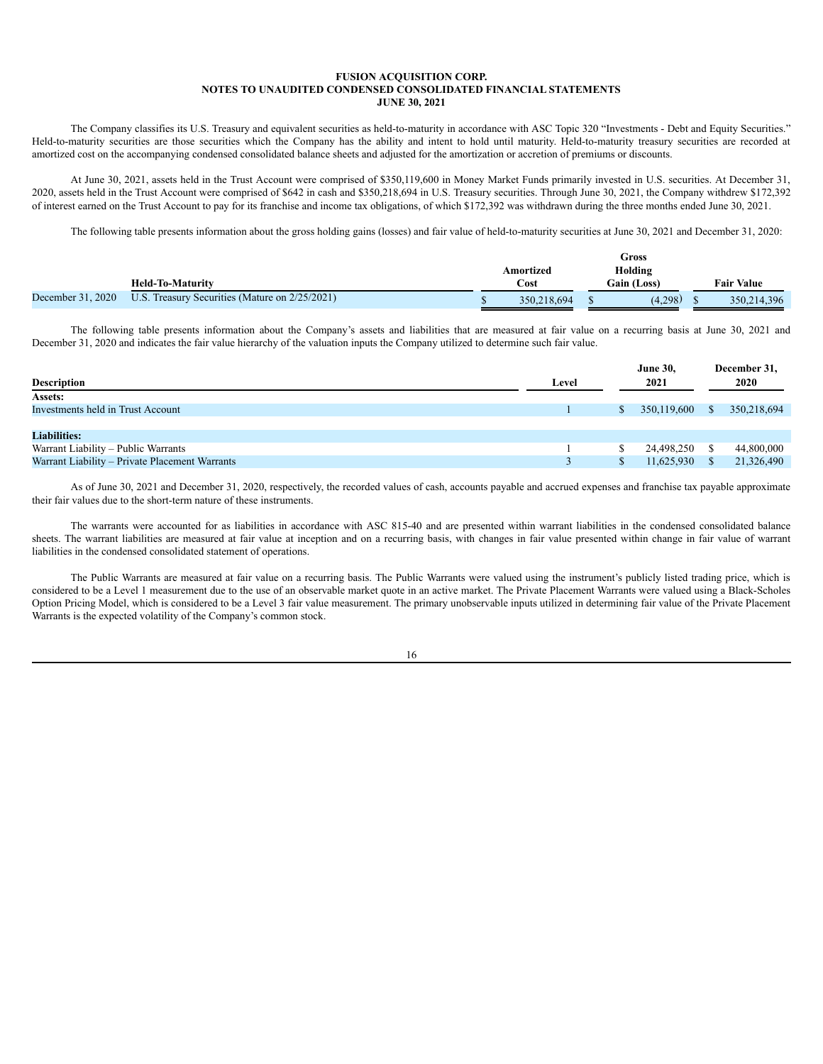The Company classifies its U.S. Treasury and equivalent securities as held-to-maturity in accordance with ASC Topic 320 "Investments - Debt and Equity Securities." Held-to-maturity securities are those securities which the Company has the ability and intent to hold until maturity. Held-to-maturity treasury securities are recorded at amortized cost on the accompanying condensed consolidated balance sheets and adjusted for the amortization or accretion of premiums or discounts.

At June 30, 2021, assets held in the Trust Account were comprised of \$350,119,600 in Money Market Funds primarily invested in U.S. securities. At December 31, 2020, assets held in the Trust Account were comprised of \$642 in cash and \$350,218,694 in U.S. Treasury securities. Through June 30, 2021, the Company withdrew \$172,392 of interest earned on the Trust Account to pay for its franchise and income tax obligations, of which \$172,392 was withdrawn during the three months ended June 30, 2021.

The following table presents information about the gross holding gains (losses) and fair value of held-to-maturity securities at June 30, 2021 and December 31, 2020:

|                   |                                                |             | Gross              |                   |
|-------------------|------------------------------------------------|-------------|--------------------|-------------------|
|                   |                                                | Amortized   | Holding            |                   |
|                   | <b>Held-To-Maturity</b>                        | $\cos t$    | <b>Gain (Loss)</b> | <b>Fair Value</b> |
| December 31, 2020 | U.S. Treasury Securities (Mature on 2/25/2021) | 350.218.694 | (4,298)            | 350, 214, 396     |

The following table presents information about the Company's assets and liabilities that are measured at fair value on a recurring basis at June 30, 2021 and December 31, 2020 and indicates the fair value hierarchy of the valuation inputs the Company utilized to determine such fair value.

|                                                |       |    | <b>June 30,</b> |    | December 31, |
|------------------------------------------------|-------|----|-----------------|----|--------------|
| <b>Description</b>                             | Level |    | 2021            |    | 2020         |
| Assets:                                        |       |    |                 |    |              |
| Investments held in Trust Account              |       | S. | 350.119.600     | S. | 350,218,694  |
|                                                |       |    |                 |    |              |
| <b>Liabilities:</b>                            |       |    |                 |    |              |
| Warrant Liability – Public Warrants            |       |    | 24,498,250      |    | 44,800,000   |
| Warrant Liability – Private Placement Warrants |       |    | 11,625,930      |    | 21,326,490   |
|                                                |       |    |                 |    |              |

As of June 30, 2021 and December 31, 2020, respectively, the recorded values of cash, accounts payable and accrued expenses and franchise tax payable approximate their fair values due to the short-term nature of these instruments.

The warrants were accounted for as liabilities in accordance with ASC 815-40 and are presented within warrant liabilities in the condensed consolidated balance sheets. The warrant liabilities are measured at fair value at inception and on a recurring basis, with changes in fair value presented within change in fair value of warrant liabilities in the condensed consolidated statement of operations.

The Public Warrants are measured at fair value on a recurring basis. The Public Warrants were valued using the instrument's publicly listed trading price, which is considered to be a Level 1 measurement due to the use of an observable market quote in an active market. The Private Placement Warrants were valued using a Black-Scholes Option Pricing Model, which is considered to be a Level 3 fair value measurement. The primary unobservable inputs utilized in determining fair value of the Private Placement Warrants is the expected volatility of the Company's common stock.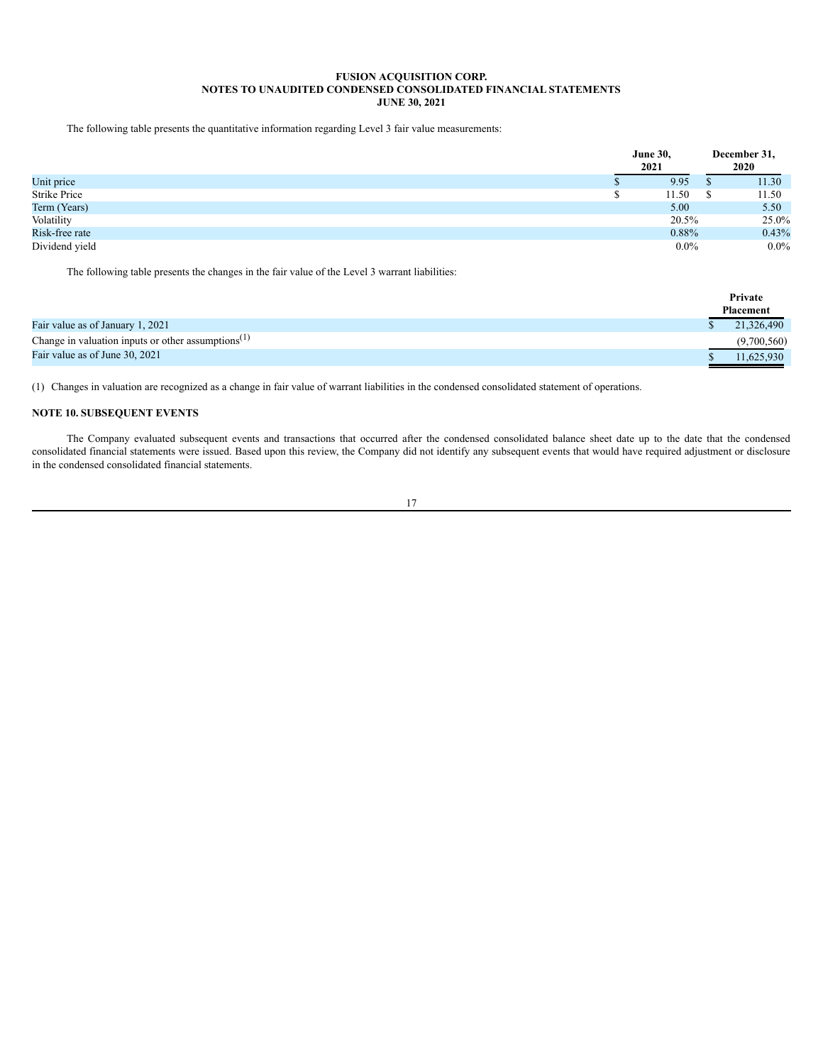The following table presents the quantitative information regarding Level 3 fair value measurements:

|                | <b>June 30,</b><br>2021 |              | December 31,<br>2020 |
|----------------|-------------------------|--------------|----------------------|
| Unit price     | 9.95                    |              | 11.30                |
| Strike Price   | 11.50                   | <sup>S</sup> | 11.50                |
| Term (Years)   | 5.00                    |              | 5.50                 |
| Volatility     | 20.5%                   |              | 25.0%                |
| Risk-free rate | 0.88%                   |              | 0.43%                |
| Dividend yield | $0.0\%$                 |              | $0.0\%$              |

The following table presents the changes in the fair value of the Level 3 warrant liabilities:

|                                                       | Private     |  |
|-------------------------------------------------------|-------------|--|
|                                                       | Placement   |  |
| Fair value as of January 1, 2021                      | 21,326,490  |  |
| Change in valuation inputs or other assumptions $(1)$ | (9,700,560) |  |
| Fair value as of June 30, 2021                        | 11.625.930  |  |

(1) Changes in valuation are recognized as a change in fair value of warrant liabilities in the condensed consolidated statement of operations.

# **NOTE 10. SUBSEQUENT EVENTS**

The Company evaluated subsequent events and transactions that occurred after the condensed consolidated balance sheet date up to the date that the condensed consolidated financial statements were issued. Based upon this review, the Company did not identify any subsequent events that would have required adjustment or disclosure in the condensed consolidated financial statements.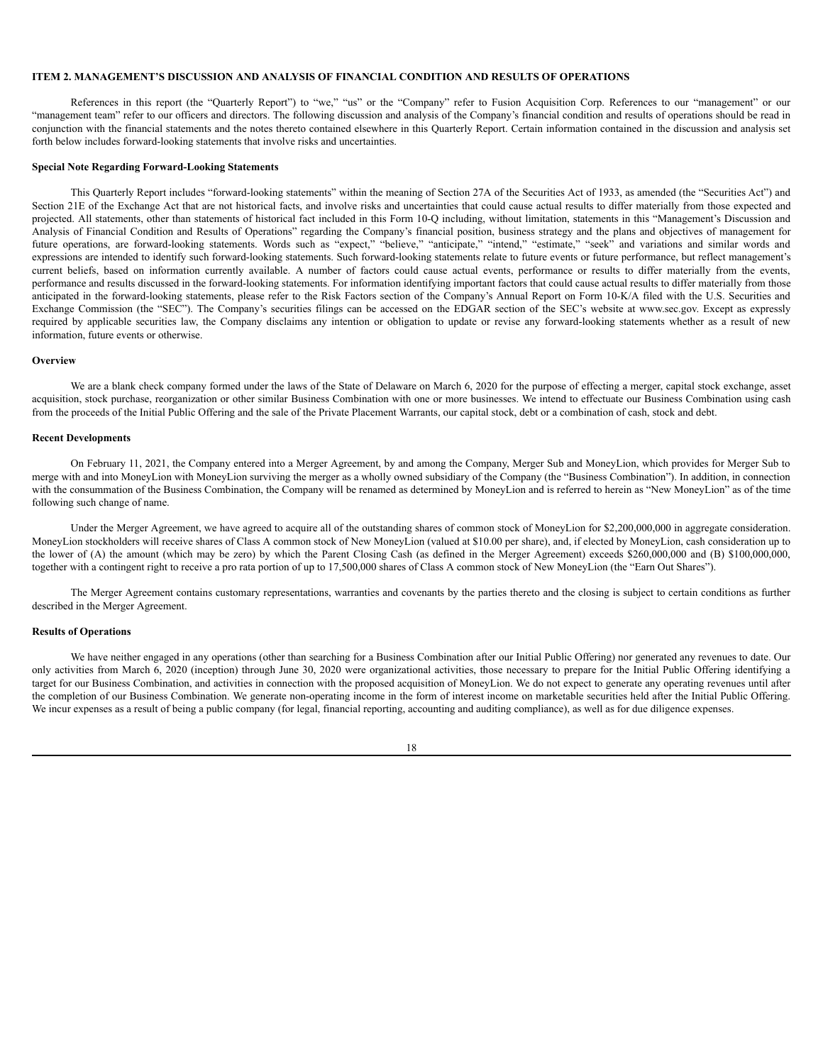# <span id="page-19-0"></span>**ITEM 2. MANAGEMENT'S DISCUSSION AND ANALYSIS OF FINANCIAL CONDITION AND RESULTS OF OPERATIONS**

References in this report (the "Quarterly Report") to "we," "us" or the "Company" refer to Fusion Acquisition Corp. References to our "management" or our "management team" refer to our officers and directors. The following discussion and analysis of the Company's financial condition and results of operations should be read in conjunction with the financial statements and the notes thereto contained elsewhere in this Quarterly Report. Certain information contained in the discussion and analysis set forth below includes forward-looking statements that involve risks and uncertainties.

## **Special Note Regarding Forward-Looking Statements**

This Quarterly Report includes "forward-looking statements" within the meaning of Section 27A of the Securities Act of 1933, as amended (the "Securities Act") and Section 21E of the Exchange Act that are not historical facts, and involve risks and uncertainties that could cause actual results to differ materially from those expected and projected. All statements, other than statements of historical fact included in this Form 10-Q including, without limitation, statements in this "Management's Discussion and Analysis of Financial Condition and Results of Operations" regarding the Company's financial position, business strategy and the plans and objectives of management for future operations, are forward-looking statements. Words such as "expect," "believe," "anticipate," "intend," "estimate," "seek" and variations and similar words and expressions are intended to identify such forward-looking statements. Such forward-looking statements relate to future events or future performance, but reflect management's current beliefs, based on information currently available. A number of factors could cause actual events, performance or results to differ materially from the events, performance and results discussed in the forward-looking statements. For information identifying important factors that could cause actual results to differ materially from those anticipated in the forward-looking statements, please refer to the Risk Factors section of the Company's Annual Report on Form 10-K/A filed with the U.S. Securities and Exchange Commission (the "SEC"). The Company's securities filings can be accessed on the EDGAR section of the SEC's website at www.sec.gov. Except as expressly required by applicable securities law, the Company disclaims any intention or obligation to update or revise any forward-looking statements whether as a result of new information, future events or otherwise.

### **Overview**

We are a blank check company formed under the laws of the State of Delaware on March 6, 2020 for the purpose of effecting a merger, capital stock exchange, asset acquisition, stock purchase, reorganization or other similar Business Combination with one or more businesses. We intend to effectuate our Business Combination using cash from the proceeds of the Initial Public Offering and the sale of the Private Placement Warrants, our capital stock, debt or a combination of cash, stock and debt.

## **Recent Developments**

On February 11, 2021, the Company entered into a Merger Agreement, by and among the Company, Merger Sub and MoneyLion, which provides for Merger Sub to merge with and into MoneyLion with MoneyLion surviving the merger as a wholly owned subsidiary of the Company (the "Business Combination"). In addition, in connection with the consummation of the Business Combination, the Company will be renamed as determined by MoneyLion and is referred to herein as "New MoneyLion" as of the time following such change of name.

Under the Merger Agreement, we have agreed to acquire all of the outstanding shares of common stock of MoneyLion for \$2,200,000,000 in aggregate consideration. MoneyLion stockholders will receive shares of Class A common stock of New MoneyLion (valued at \$10.00 per share), and, if elected by MoneyLion, cash consideration up to the lower of (A) the amount (which may be zero) by which the Parent Closing Cash (as defined in the Merger Agreement) exceeds \$260,000,000 and (B) \$100,000,000, together with a contingent right to receive a pro rata portion of up to 17,500,000 shares of Class A common stock of New MoneyLion (the "Earn Out Shares").

The Merger Agreement contains customary representations, warranties and covenants by the parties thereto and the closing is subject to certain conditions as further described in the Merger Agreement.

### **Results of Operations**

We have neither engaged in any operations (other than searching for a Business Combination after our Initial Public Offering) nor generated any revenues to date. Our only activities from March 6, 2020 (inception) through June 30, 2020 were organizational activities, those necessary to prepare for the Initial Public Offering identifying a target for our Business Combination, and activities in connection with the proposed acquisition of MoneyLion. We do not expect to generate any operating revenues until after the completion of our Business Combination. We generate non-operating income in the form of interest income on marketable securities held after the Initial Public Offering. We incur expenses as a result of being a public company (for legal, financial reporting, accounting and auditing compliance), as well as for due diligence expenses.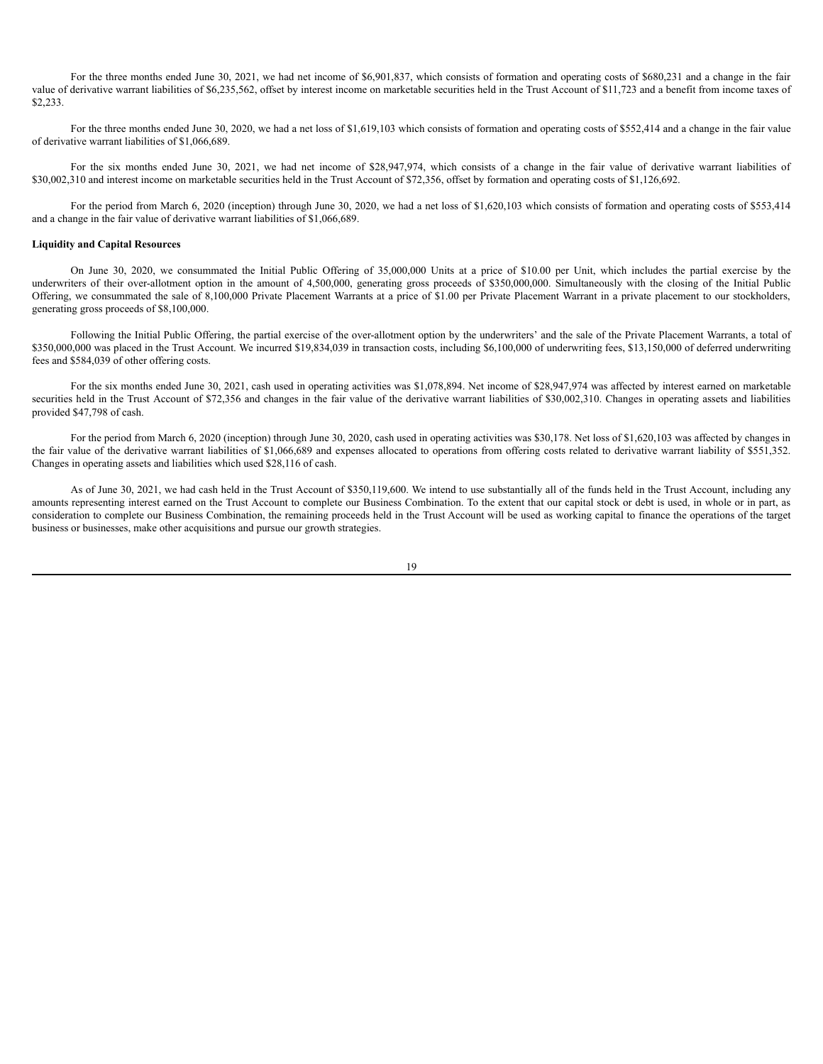For the three months ended June 30, 2021, we had net income of \$6,901,837, which consists of formation and operating costs of \$680,231 and a change in the fair value of derivative warrant liabilities of \$6,235,562, offset by interest income on marketable securities held in the Trust Account of \$11,723 and a benefit from income taxes of \$2,233.

For the three months ended June 30, 2020, we had a net loss of \$1,619,103 which consists of formation and operating costs of \$552,414 and a change in the fair value of derivative warrant liabilities of \$1,066,689.

For the six months ended June 30, 2021, we had net income of \$28,947,974, which consists of a change in the fair value of derivative warrant liabilities of \$30,002,310 and interest income on marketable securities held in the Trust Account of \$72,356, offset by formation and operating costs of \$1,126,692.

For the period from March 6, 2020 (inception) through June 30, 2020, we had a net loss of \$1,620,103 which consists of formation and operating costs of \$553,414 and a change in the fair value of derivative warrant liabilities of \$1,066,689.

### **Liquidity and Capital Resources**

On June 30, 2020, we consummated the Initial Public Offering of 35,000,000 Units at a price of \$10.00 per Unit, which includes the partial exercise by the underwriters of their over-allotment option in the amount of 4,500,000, generating gross proceeds of \$350,000,000. Simultaneously with the closing of the Initial Public Offering, we consummated the sale of 8,100,000 Private Placement Warrants at a price of \$1.00 per Private Placement Warrant in a private placement to our stockholders, generating gross proceeds of \$8,100,000.

Following the Initial Public Offering, the partial exercise of the over-allotment option by the underwriters' and the sale of the Private Placement Warrants, a total of \$350,000,000 was placed in the Trust Account. We incurred \$19,834,039 in transaction costs, including \$6,100,000 of underwriting fees, \$13,150,000 of deferred underwriting fees and \$584,039 of other offering costs.

For the six months ended June 30, 2021, cash used in operating activities was \$1,078,894. Net income of \$28,947,974 was affected by interest earned on marketable securities held in the Trust Account of \$72,356 and changes in the fair value of the derivative warrant liabilities of \$30,002,310. Changes in operating assets and liabilities provided \$47,798 of cash.

For the period from March 6, 2020 (inception) through June 30, 2020, cash used in operating activities was \$30,178. Net loss of \$1,620,103 was affected by changes in the fair value of the derivative warrant liabilities of \$1,066,689 and expenses allocated to operations from offering costs related to derivative warrant liability of \$551,352. Changes in operating assets and liabilities which used \$28,116 of cash.

As of June 30, 2021, we had cash held in the Trust Account of \$350,119,600. We intend to use substantially all of the funds held in the Trust Account, including any amounts representing interest earned on the Trust Account to complete our Business Combination. To the extent that our capital stock or debt is used, in whole or in part, as consideration to complete our Business Combination, the remaining proceeds held in the Trust Account will be used as working capital to finance the operations of the target business or businesses, make other acquisitions and pursue our growth strategies.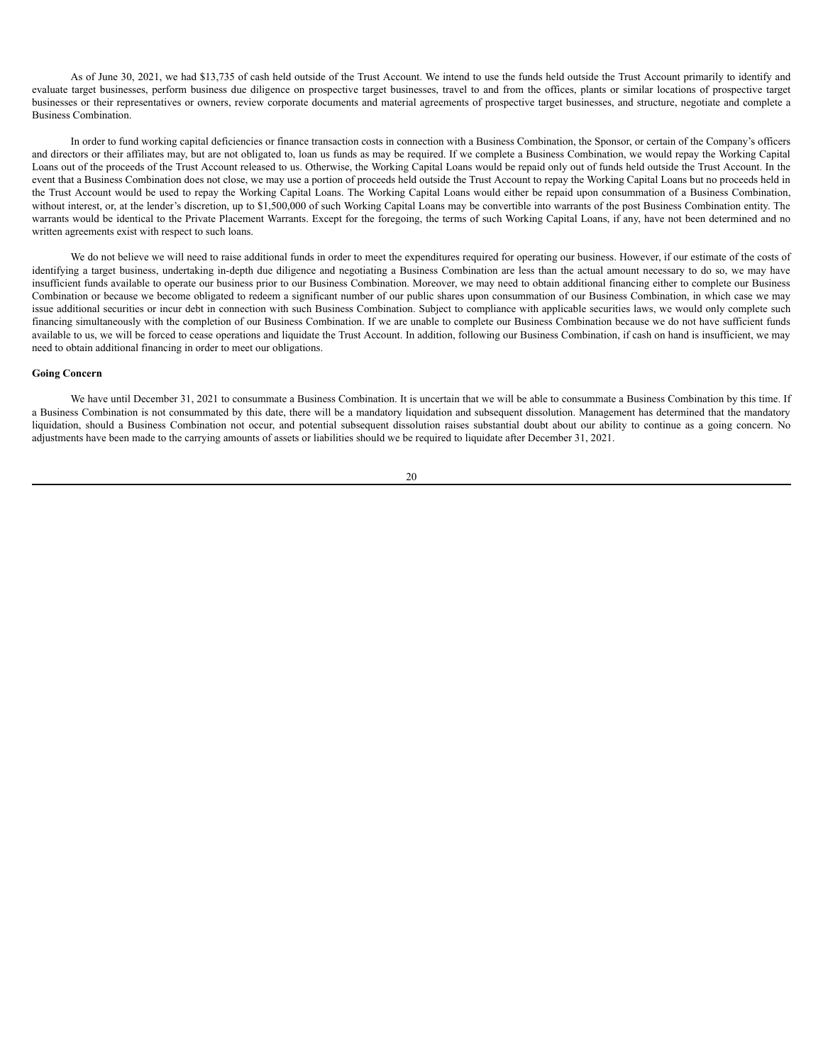As of June 30, 2021, we had \$13,735 of cash held outside of the Trust Account. We intend to use the funds held outside the Trust Account primarily to identify and evaluate target businesses, perform business due diligence on prospective target businesses, travel to and from the offices, plants or similar locations of prospective target businesses or their representatives or owners, review corporate documents and material agreements of prospective target businesses, and structure, negotiate and complete a Business Combination.

In order to fund working capital deficiencies or finance transaction costs in connection with a Business Combination, the Sponsor, or certain of the Company's officers and directors or their affiliates may, but are not obligated to, loan us funds as may be required. If we complete a Business Combination, we would repay the Working Capital Loans out of the proceeds of the Trust Account released to us. Otherwise, the Working Capital Loans would be repaid only out of funds held outside the Trust Account. In the event that a Business Combination does not close, we may use a portion of proceeds held outside the Trust Account to repay the Working Capital Loans but no proceeds held in the Trust Account would be used to repay the Working Capital Loans. The Working Capital Loans would either be repaid upon consummation of a Business Combination, without interest, or, at the lender's discretion, up to \$1,500,000 of such Working Capital Loans may be convertible into warrants of the post Business Combination entity. The warrants would be identical to the Private Placement Warrants. Except for the foregoing, the terms of such Working Capital Loans, if any, have not been determined and no written agreements exist with respect to such loans.

We do not believe we will need to raise additional funds in order to meet the expenditures required for operating our business. However, if our estimate of the costs of identifying a target business, undertaking in-depth due diligence and negotiating a Business Combination are less than the actual amount necessary to do so, we may have insufficient funds available to operate our business prior to our Business Combination. Moreover, we may need to obtain additional financing either to complete our Business Combination or because we become obligated to redeem a significant number of our public shares upon consummation of our Business Combination, in which case we may issue additional securities or incur debt in connection with such Business Combination. Subject to compliance with applicable securities laws, we would only complete such financing simultaneously with the completion of our Business Combination. If we are unable to complete our Business Combination because we do not have sufficient funds available to us, we will be forced to cease operations and liquidate the Trust Account. In addition, following our Business Combination, if cash on hand is insufficient, we may need to obtain additional financing in order to meet our obligations.

# **Going Concern**

We have until December 31, 2021 to consummate a Business Combination. It is uncertain that we will be able to consummate a Business Combination by this time. If a Business Combination is not consummated by this date, there will be a mandatory liquidation and subsequent dissolution. Management has determined that the mandatory liquidation, should a Business Combination not occur, and potential subsequent dissolution raises substantial doubt about our ability to continue as a going concern. No adjustments have been made to the carrying amounts of assets or liabilities should we be required to liquidate after December 31, 2021.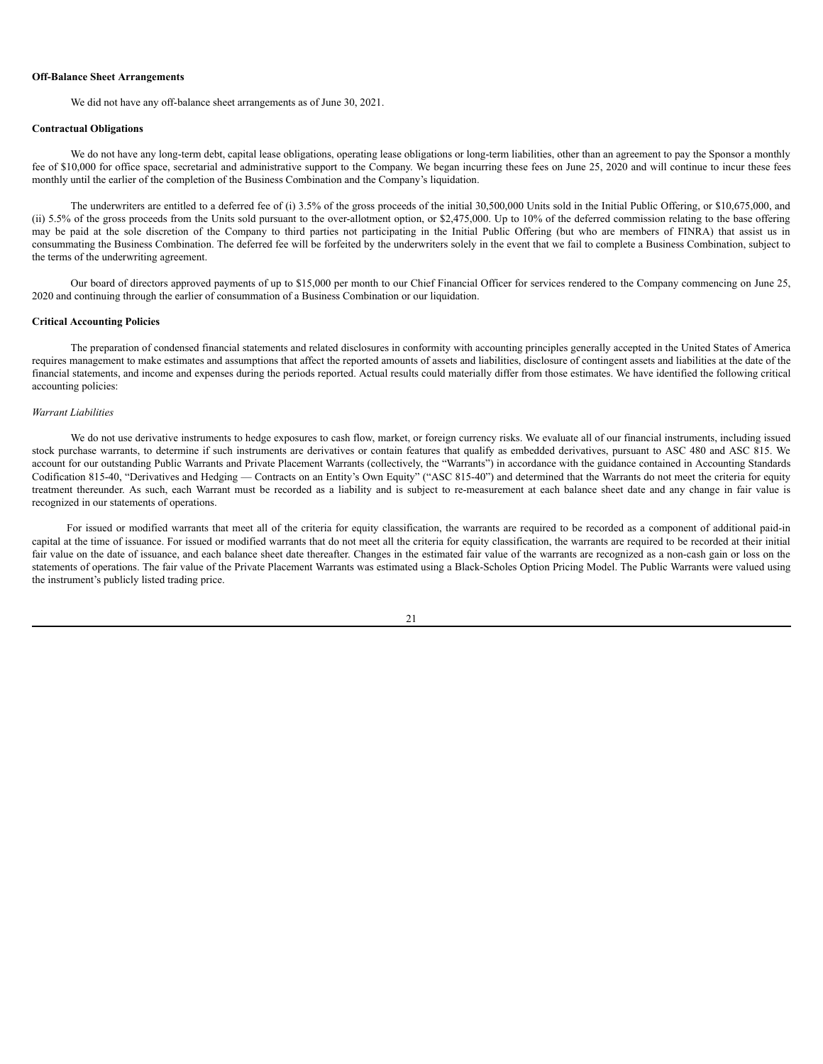#### **Off-Balance Sheet Arrangements**

We did not have any off-balance sheet arrangements as of June 30, 2021.

#### **Contractual Obligations**

We do not have any long-term debt, capital lease obligations, operating lease obligations or long-term liabilities, other than an agreement to pay the Sponsor a monthly fee of \$10,000 for office space, secretarial and administrative support to the Company. We began incurring these fees on June 25, 2020 and will continue to incur these fees monthly until the earlier of the completion of the Business Combination and the Company's liquidation.

The underwriters are entitled to a deferred fee of (i) 3.5% of the gross proceeds of the initial 30,500,000 Units sold in the Initial Public Offering, or \$10,675,000, and (ii) 5.5% of the gross proceeds from the Units sold pursuant to the over-allotment option, or \$2,475,000. Up to 10% of the deferred commission relating to the base offering may be paid at the sole discretion of the Company to third parties not participating in the Initial Public Offering (but who are members of FINRA) that assist us in consummating the Business Combination. The deferred fee will be forfeited by the underwriters solely in the event that we fail to complete a Business Combination, subject to the terms of the underwriting agreement.

Our board of directors approved payments of up to \$15,000 per month to our Chief Financial Officer for services rendered to the Company commencing on June 25, 2020 and continuing through the earlier of consummation of a Business Combination or our liquidation.

#### **Critical Accounting Policies**

The preparation of condensed financial statements and related disclosures in conformity with accounting principles generally accepted in the United States of America requires management to make estimates and assumptions that affect the reported amounts of assets and liabilities, disclosure of contingent assets and liabilities at the date of the financial statements, and income and expenses during the periods reported. Actual results could materially differ from those estimates. We have identified the following critical accounting policies:

# *Warrant Liabilities*

We do not use derivative instruments to hedge exposures to cash flow, market, or foreign currency risks. We evaluate all of our financial instruments, including issued stock purchase warrants, to determine if such instruments are derivatives or contain features that qualify as embedded derivatives, pursuant to ASC 480 and ASC 815. We account for our outstanding Public Warrants and Private Placement Warrants (collectively, the "Warrants") in accordance with the guidance contained in Accounting Standards Codification 815-40, "Derivatives and Hedging — Contracts on an Entity's Own Equity" ("ASC 815-40") and determined that the Warrants do not meet the criteria for equity treatment thereunder. As such, each Warrant must be recorded as a liability and is subject to re-measurement at each balance sheet date and any change in fair value is recognized in our statements of operations.

For issued or modified warrants that meet all of the criteria for equity classification, the warrants are required to be recorded as a component of additional paid-in capital at the time of issuance. For issued or modified warrants that do not meet all the criteria for equity classification, the warrants are required to be recorded at their initial fair value on the date of issuance, and each balance sheet date thereafter. Changes in the estimated fair value of the warrants are recognized as a non-cash gain or loss on the statements of operations. The fair value of the Private Placement Warrants was estimated using a Black-Scholes Option Pricing Model. The Public Warrants were valued using the instrument's publicly listed trading price.

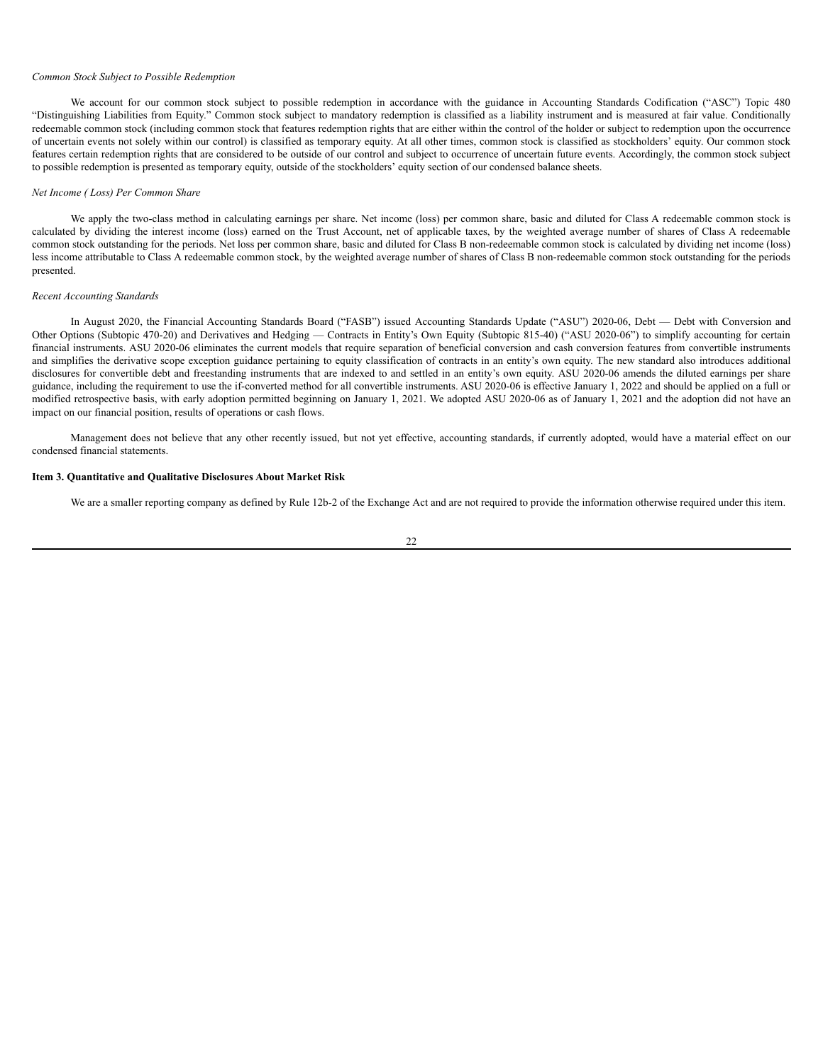#### *Common Stock Subject to Possible Redemption*

We account for our common stock subject to possible redemption in accordance with the guidance in Accounting Standards Codification ("ASC") Topic 480 "Distinguishing Liabilities from Equity." Common stock subject to mandatory redemption is classified as a liability instrument and is measured at fair value. Conditionally redeemable common stock (including common stock that features redemption rights that are either within the control of the holder or subject to redemption upon the occurrence of uncertain events not solely within our control) is classified as temporary equity. At all other times, common stock is classified as stockholders' equity. Our common stock features certain redemption rights that are considered to be outside of our control and subject to occurrence of uncertain future events. Accordingly, the common stock subject to possible redemption is presented as temporary equity, outside of the stockholders' equity section of our condensed balance sheets.

#### *Net Income ( Loss) Per Common Share*

We apply the two-class method in calculating earnings per share. Net income (loss) per common share, basic and diluted for Class A redeemable common stock is calculated by dividing the interest income (loss) earned on the Trust Account, net of applicable taxes, by the weighted average number of shares of Class A redeemable common stock outstanding for the periods. Net loss per common share, basic and diluted for Class B non-redeemable common stock is calculated by dividing net income (loss) less income attributable to Class A redeemable common stock, by the weighted average number of shares of Class B non-redeemable common stock outstanding for the periods presented.

# *Recent Accounting Standards*

In August 2020, the Financial Accounting Standards Board ("FASB") issued Accounting Standards Update ("ASU") 2020-06, Debt — Debt with Conversion and Other Options (Subtopic 470-20) and Derivatives and Hedging — Contracts in Entity's Own Equity (Subtopic 815-40) ("ASU 2020-06") to simplify accounting for certain financial instruments. ASU 2020-06 eliminates the current models that require separation of beneficial conversion and cash conversion features from convertible instruments and simplifies the derivative scope exception guidance pertaining to equity classification of contracts in an entity's own equity. The new standard also introduces additional disclosures for convertible debt and freestanding instruments that are indexed to and settled in an entity's own equity. ASU 2020-06 amends the diluted earnings per share guidance, including the requirement to use the if-converted method for all convertible instruments. ASU 2020-06 is effective January 1, 2022 and should be applied on a full or modified retrospective basis, with early adoption permitted beginning on January 1, 2021. We adopted ASU 2020-06 as of January 1, 2021 and the adoption did not have an impact on our financial position, results of operations or cash flows.

Management does not believe that any other recently issued, but not yet effective, accounting standards, if currently adopted, would have a material effect on our condensed financial statements.

## <span id="page-23-0"></span>**Item 3. Quantitative and Qualitative Disclosures About Market Risk**

We are a smaller reporting company as defined by Rule 12b-2 of the Exchange Act and are not required to provide the information otherwise required under this item.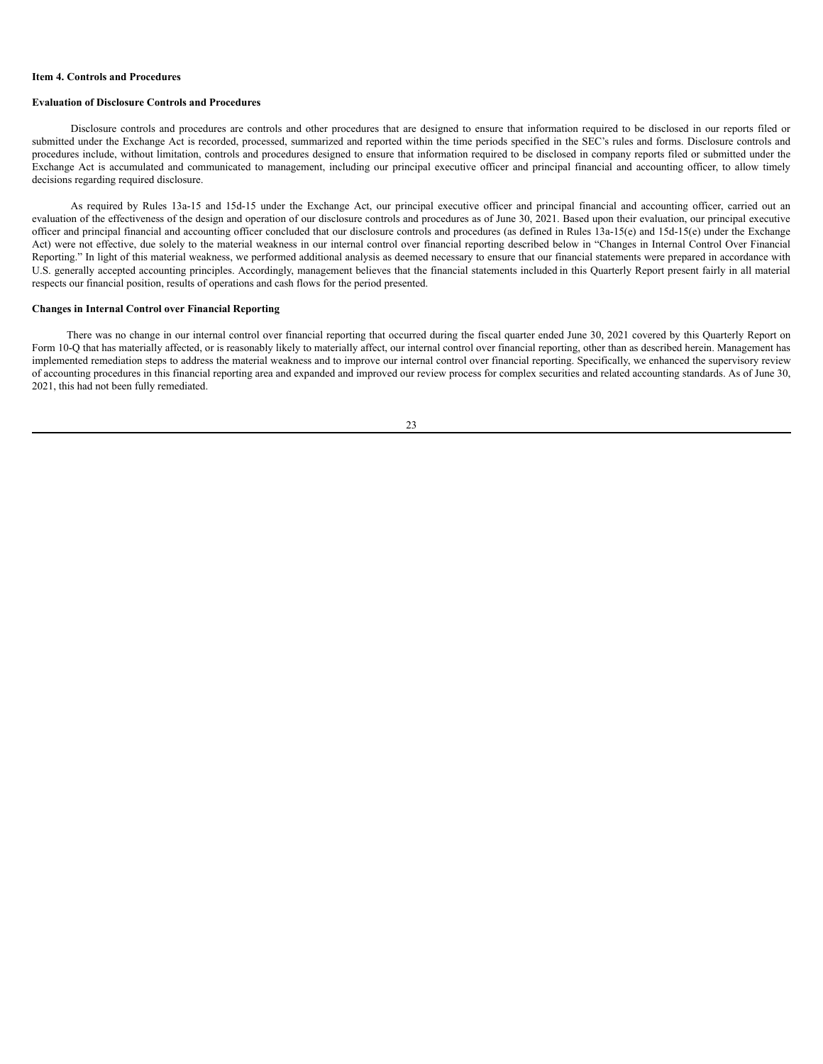#### <span id="page-24-0"></span>**Item 4. Controls and Procedures**

### **Evaluation of Disclosure Controls and Procedures**

Disclosure controls and procedures are controls and other procedures that are designed to ensure that information required to be disclosed in our reports filed or submitted under the Exchange Act is recorded, processed, summarized and reported within the time periods specified in the SEC's rules and forms. Disclosure controls and procedures include, without limitation, controls and procedures designed to ensure that information required to be disclosed in company reports filed or submitted under the Exchange Act is accumulated and communicated to management, including our principal executive officer and principal financial and accounting officer, to allow timely decisions regarding required disclosure.

As required by Rules 13a-15 and 15d-15 under the Exchange Act, our principal executive officer and principal financial and accounting officer, carried out an evaluation of the effectiveness of the design and operation of our disclosure controls and procedures as of June 30, 2021. Based upon their evaluation, our principal executive officer and principal financial and accounting officer concluded that our disclosure controls and procedures (as defined in Rules 13a-15(e) and 15d-15(e) under the Exchange Act) were not effective, due solely to the material weakness in our internal control over financial reporting described below in "Changes in Internal Control Over Financial Reporting." In light of this material weakness, we performed additional analysis as deemed necessary to ensure that our financial statements were prepared in accordance with U.S. generally accepted accounting principles. Accordingly, management believes that the financial statements included in this Quarterly Report present fairly in all material respects our financial position, results of operations and cash flows for the period presented.

# **Changes in Internal Control over Financial Reporting**

There was no change in our internal control over financial reporting that occurred during the fiscal quarter ended June 30, 2021 covered by this Quarterly Report on Form 10-Q that has materially affected, or is reasonably likely to materially affect, our internal control over financial reporting, other than as described herein. Management has implemented remediation steps to address the material weakness and to improve our internal control over financial reporting. Specifically, we enhanced the supervisory review of accounting procedures in this financial reporting area and expanded and improved our review process for complex securities and related accounting standards. As of June 30, 2021, this had not been fully remediated.

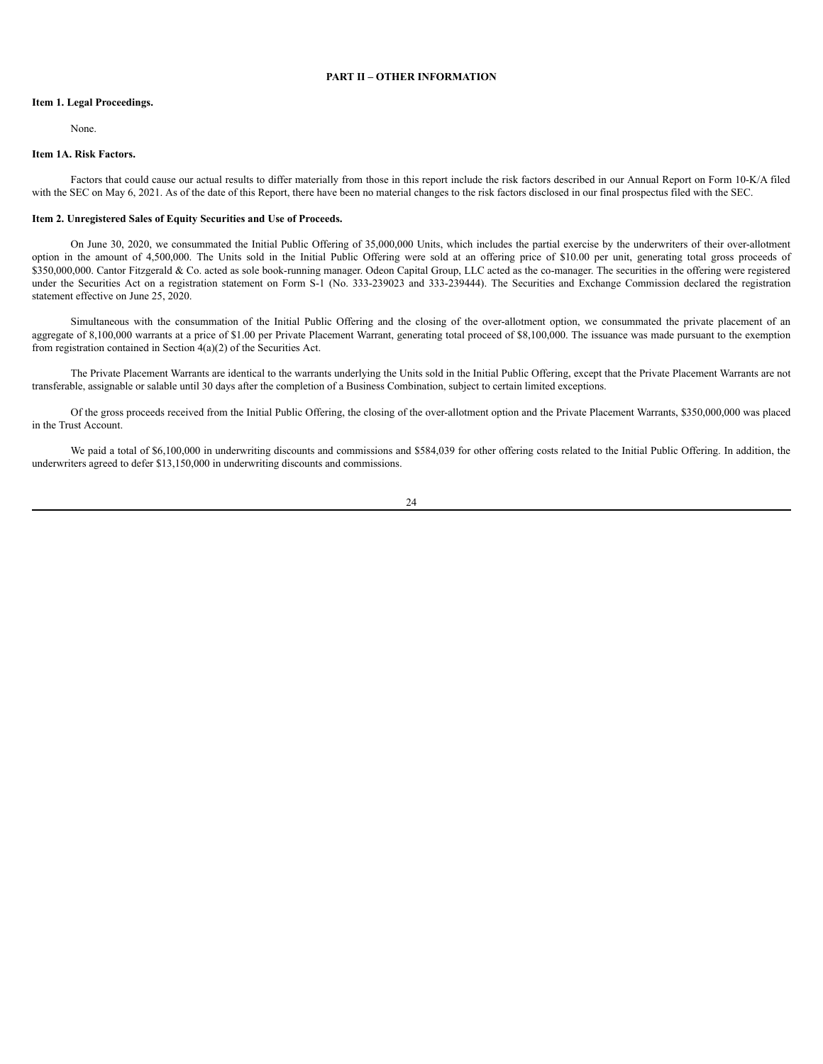# **PART II – OTHER INFORMATION**

# <span id="page-25-1"></span><span id="page-25-0"></span>**Item 1. Legal Proceedings.**

None.

# <span id="page-25-2"></span>**Item 1A. Risk Factors.**

Factors that could cause our actual results to differ materially from those in this report include the risk factors described in our Annual Report on Form 10-K/A filed with the SEC on May 6, 2021. As of the date of this Report, there have been no material changes to the risk factors disclosed in our final prospectus filed with the SEC.

### <span id="page-25-3"></span>**Item 2. Unregistered Sales of Equity Securities and Use of Proceeds.**

On June 30, 2020, we consummated the Initial Public Offering of 35,000,000 Units, which includes the partial exercise by the underwriters of their over-allotment option in the amount of 4,500,000. The Units sold in the Initial Public Offering were sold at an offering price of \$10.00 per unit, generating total gross proceeds of \$350,000,000. Cantor Fitzgerald & Co. acted as sole book-running manager. Odeon Capital Group, LLC acted as the co-manager. The securities in the offering were registered under the Securities Act on a registration statement on Form S-1 (No. 333-239023 and 333-239444). The Securities and Exchange Commission declared the registration statement effective on June 25, 2020.

Simultaneous with the consummation of the Initial Public Offering and the closing of the over-allotment option, we consummated the private placement of an aggregate of 8,100,000 warrants at a price of \$1.00 per Private Placement Warrant, generating total proceed of \$8,100,000. The issuance was made pursuant to the exemption from registration contained in Section 4(a)(2) of the Securities Act.

The Private Placement Warrants are identical to the warrants underlying the Units sold in the Initial Public Offering, except that the Private Placement Warrants are not transferable, assignable or salable until 30 days after the completion of a Business Combination, subject to certain limited exceptions.

Of the gross proceeds received from the Initial Public Offering, the closing of the over-allotment option and the Private Placement Warrants, \$350,000,000 was placed in the Trust Account.

We paid a total of \$6,100,000 in underwriting discounts and commissions and \$584,039 for other offering costs related to the Initial Public Offering. In addition, the underwriters agreed to defer \$13,150,000 in underwriting discounts and commissions.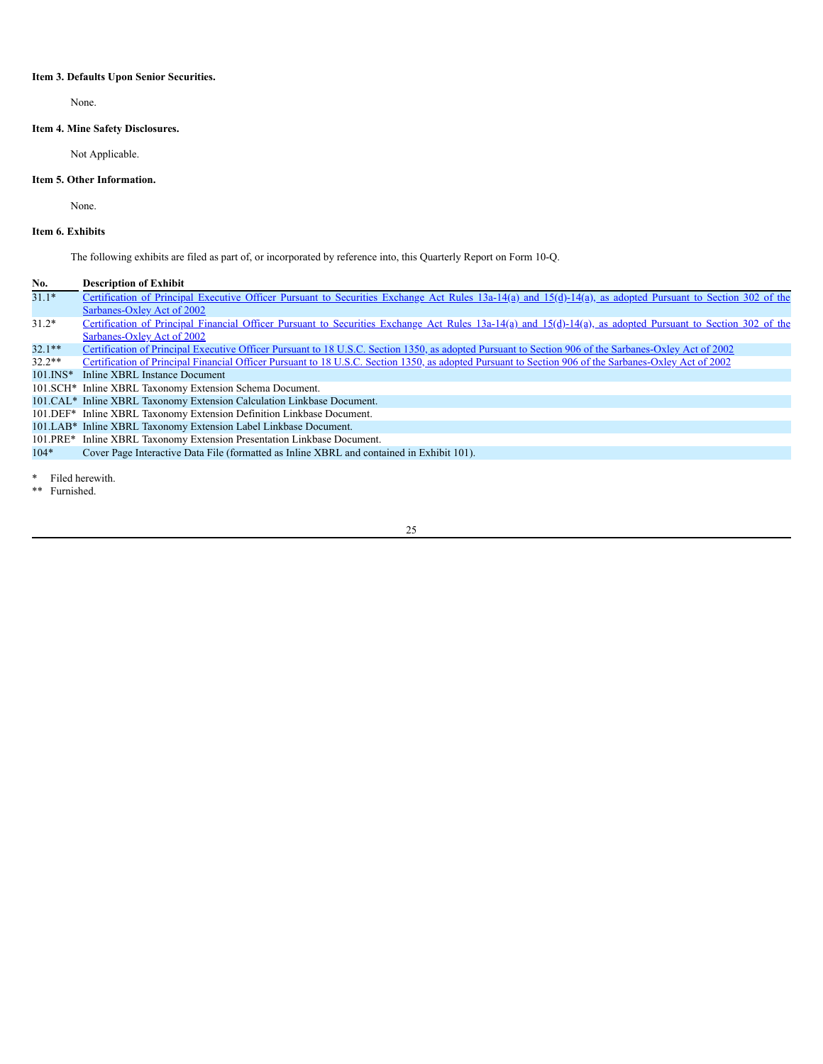# <span id="page-26-0"></span>**Item 3. Defaults Upon Senior Securities.**

None.

# <span id="page-26-1"></span>**Item 4. Mine Safety Disclosures.**

Not Applicable.

# <span id="page-26-2"></span>**Item 5. Other Information.**

None.

# <span id="page-26-3"></span>**Item 6. Exhibits**

The following exhibits are filed as part of, or incorporated by reference into, this Quarterly Report on Form 10-Q.

# **No. Description of Exhibit**

| $31.1*$      | Certification of Principal Executive Officer Pursuant to Securities Exchange Act Rules 13a-14(a) and 15(d)-14(a), as adopted Pursuant to Section 302 of the |
|--------------|-------------------------------------------------------------------------------------------------------------------------------------------------------------|
|              | Sarbanes-Oxley Act of 2002                                                                                                                                  |
| $31.2*$      | Certification of Principal Financial Officer Pursuant to Securities Exchange Act Rules 13a-14(a) and 15(d)-14(a), as adopted Pursuant to Section 302 of the |
|              | Sarbanes-Oxley Act of 2002                                                                                                                                  |
| $32.1**$     | Certification of Principal Executive Officer Pursuant to 18 U.S.C. Section 1350, as adopted Pursuant to Section 906 of the Sarbanes-Oxley Act of 2002       |
| $32.2**$     | Certification of Principal Financial Officer Pursuant to 18 U.S.C. Section 1350, as adopted Pursuant to Section 906 of the Sarbanes-Oxley Act of 2002       |
| $101$ . INS* | Inline XBRL Instance Document                                                                                                                               |
|              | 101. SCH <sup>*</sup> Inline XBRL Taxonomy Extension Schema Document.                                                                                       |
|              | 101. CAL* Inline XBRL Taxonomy Extension Calculation Linkbase Document.                                                                                     |
|              | 101. DEF <sup>*</sup> Inline XBRL Taxonomy Extension Definition Linkbase Document.                                                                          |
|              | 101.LAB* Inline XBRL Taxonomy Extension Label Linkbase Document.                                                                                            |
|              | 101. PRE <sup>*</sup> Inline XBRL Taxonomy Extension Presentation Linkbase Document.                                                                        |
| $104*$       | Cover Page Interactive Data File (formatted as Inline XBRL and contained in Exhibit 101).                                                                   |
|              |                                                                                                                                                             |

\* Filed herewith.

\*\* Furnished.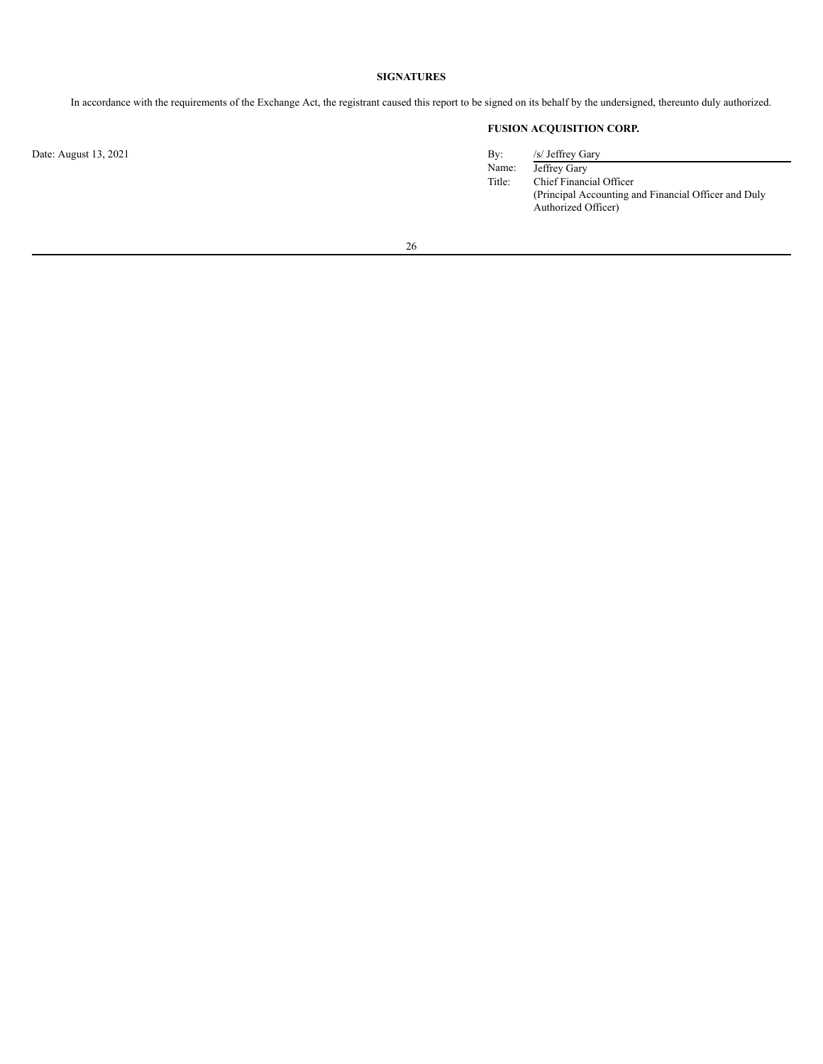# **SIGNATURES**

<span id="page-27-0"></span>In accordance with the requirements of the Exchange Act, the registrant caused this report to be signed on its behalf by the undersigned, thereunto duly authorized.

# **FUSION ACQUISITION CORP.**

| By:    | /s/ Jeffrey Gary                                     |
|--------|------------------------------------------------------|
| Name:  | Jeffrey Gary                                         |
| Title: | Chief Financial Officer                              |
|        | (Principal Accounting and Financial Officer and Duly |
|        | Authorized Officer)                                  |

26

Date: August 13, 2021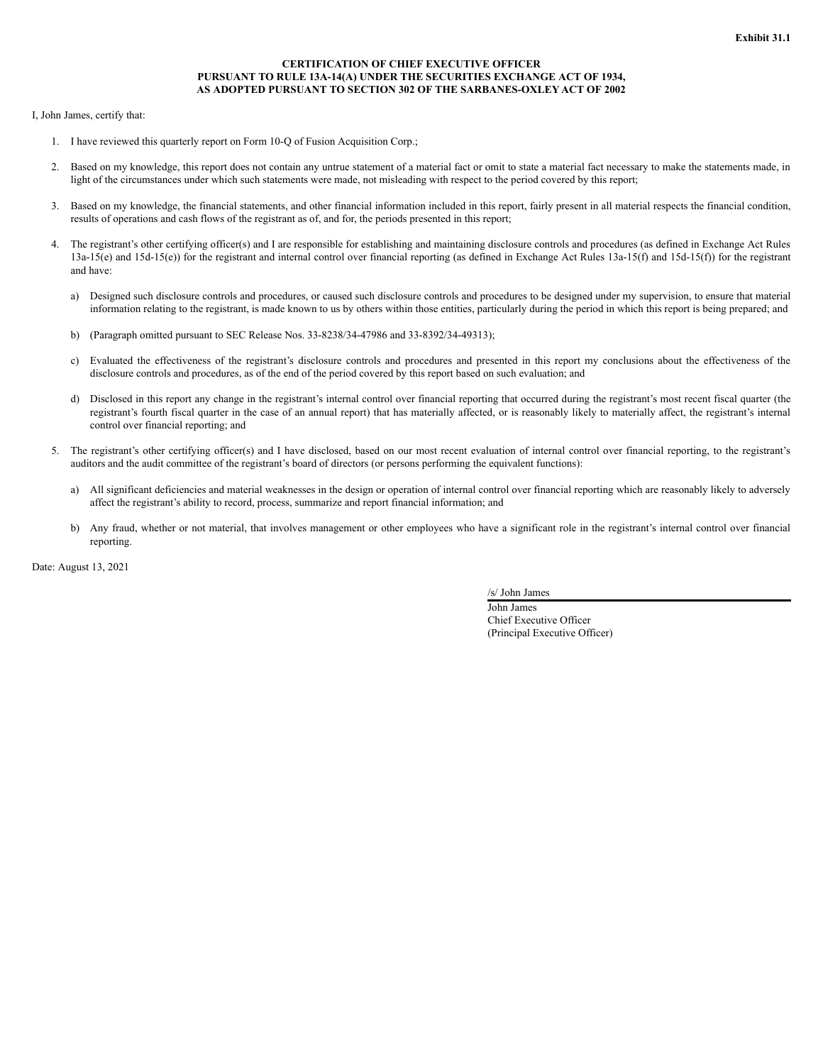# **CERTIFICATION OF CHIEF EXECUTIVE OFFICER PURSUANT TO RULE 13A-14(A) UNDER THE SECURITIES EXCHANGE ACT OF 1934, AS ADOPTED PURSUANT TO SECTION 302 OF THE SARBANES-OXLEY ACT OF 2002**

I, John James, certify that:

- 1. I have reviewed this quarterly report on Form 10-Q of Fusion Acquisition Corp.;
- 2. Based on my knowledge, this report does not contain any untrue statement of a material fact or omit to state a material fact necessary to make the statements made, in light of the circumstances under which such statements were made, not misleading with respect to the period covered by this report;
- 3. Based on my knowledge, the financial statements, and other financial information included in this report, fairly present in all material respects the financial condition, results of operations and cash flows of the registrant as of, and for, the periods presented in this report;
- 4. The registrant's other certifying officer(s) and I are responsible for establishing and maintaining disclosure controls and procedures (as defined in Exchange Act Rules 13a-15(e) and 15d-15(e)) for the registrant and internal control over financial reporting (as defined in Exchange Act Rules 13a-15(f) and 15d-15(f)) for the registrant and have:
	- a) Designed such disclosure controls and procedures, or caused such disclosure controls and procedures to be designed under my supervision, to ensure that material information relating to the registrant, is made known to us by others within those entities, particularly during the period in which this report is being prepared; and
	- b) (Paragraph omitted pursuant to SEC Release Nos. 33-8238/34-47986 and 33-8392/34-49313);
	- c) Evaluated the effectiveness of the registrant's disclosure controls and procedures and presented in this report my conclusions about the effectiveness of the disclosure controls and procedures, as of the end of the period covered by this report based on such evaluation; and
	- d) Disclosed in this report any change in the registrant's internal control over financial reporting that occurred during the registrant's most recent fiscal quarter (the registrant's fourth fiscal quarter in the case of an annual report) that has materially affected, or is reasonably likely to materially affect, the registrant's internal control over financial reporting; and
- 5. The registrant's other certifying officer(s) and I have disclosed, based on our most recent evaluation of internal control over financial reporting, to the registrant's auditors and the audit committee of the registrant's board of directors (or persons performing the equivalent functions):
	- a) All significant deficiencies and material weaknesses in the design or operation of internal control over financial reporting which are reasonably likely to adversely affect the registrant's ability to record, process, summarize and report financial information; and
	- b) Any fraud, whether or not material, that involves management or other employees who have a significant role in the registrant's internal control over financial reporting.

Date: August 13, 2021

/s/ John James

John James Chief Executive Officer (Principal Executive Officer)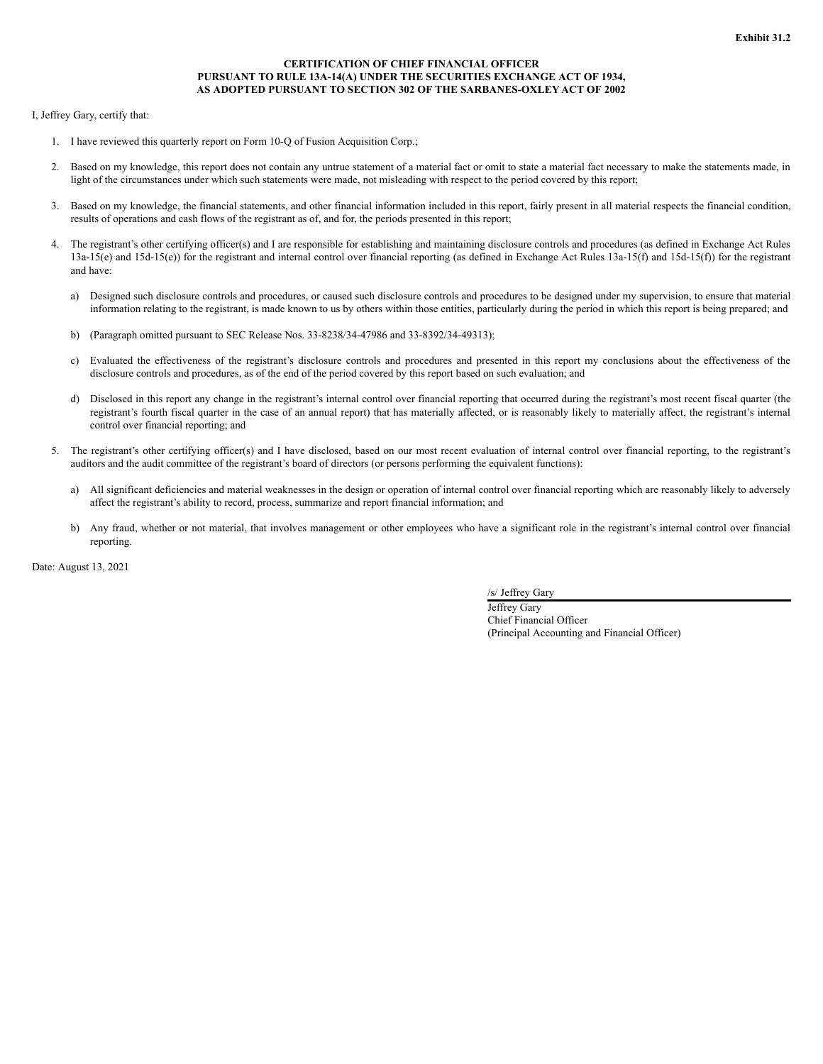# **CERTIFICATION OF CHIEF FINANCIAL OFFICER PURSUANT TO RULE 13A-14(A) UNDER THE SECURITIES EXCHANGE ACT OF 1934, AS ADOPTED PURSUANT TO SECTION 302 OF THE SARBANES-OXLEY ACT OF 2002**

I, Jeffrey Gary, certify that:

- 1. I have reviewed this quarterly report on Form 10-Q of Fusion Acquisition Corp.;
- 2. Based on my knowledge, this report does not contain any untrue statement of a material fact or omit to state a material fact necessary to make the statements made, in light of the circumstances under which such statements were made, not misleading with respect to the period covered by this report;
- 3. Based on my knowledge, the financial statements, and other financial information included in this report, fairly present in all material respects the financial condition, results of operations and cash flows of the registrant as of, and for, the periods presented in this report;
- 4. The registrant's other certifying officer(s) and I are responsible for establishing and maintaining disclosure controls and procedures (as defined in Exchange Act Rules 13a-15(e) and 15d-15(e)) for the registrant and internal control over financial reporting (as defined in Exchange Act Rules 13a-15(f) and 15d-15(f)) for the registrant and have:
	- a) Designed such disclosure controls and procedures, or caused such disclosure controls and procedures to be designed under my supervision, to ensure that material information relating to the registrant, is made known to us by others within those entities, particularly during the period in which this report is being prepared; and
	- b) (Paragraph omitted pursuant to SEC Release Nos. 33-8238/34-47986 and 33-8392/34-49313);
	- c) Evaluated the effectiveness of the registrant's disclosure controls and procedures and presented in this report my conclusions about the effectiveness of the disclosure controls and procedures, as of the end of the period covered by this report based on such evaluation; and
	- d) Disclosed in this report any change in the registrant's internal control over financial reporting that occurred during the registrant's most recent fiscal quarter (the registrant's fourth fiscal quarter in the case of an annual report) that has materially affected, or is reasonably likely to materially affect, the registrant's internal control over financial reporting; and
- 5. The registrant's other certifying officer(s) and I have disclosed, based on our most recent evaluation of internal control over financial reporting, to the registrant's auditors and the audit committee of the registrant's board of directors (or persons performing the equivalent functions):
	- a) All significant deficiencies and material weaknesses in the design or operation of internal control over financial reporting which are reasonably likely to adversely affect the registrant's ability to record, process, summarize and report financial information; and
	- b) Any fraud, whether or not material, that involves management or other employees who have a significant role in the registrant's internal control over financial reporting.

Date: August 13, 2021

/s/ Jeffrey Gary

Jeffrey Gary Chief Financial Officer (Principal Accounting and Financial Officer)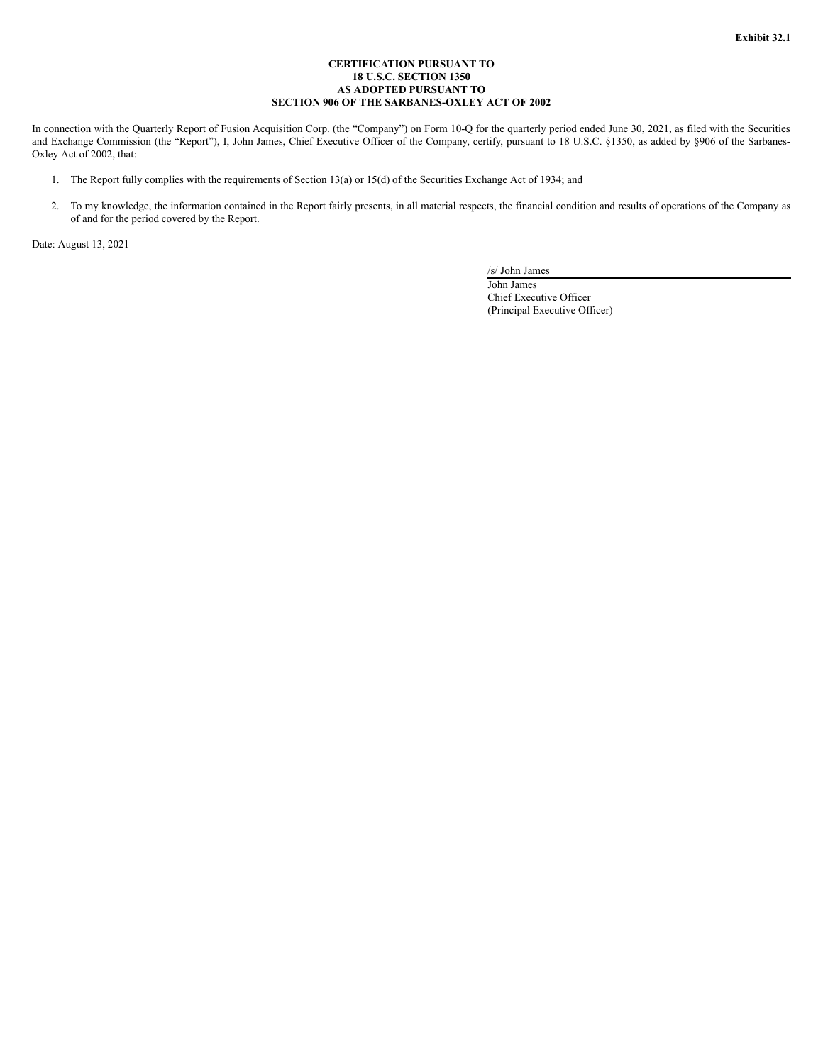## **CERTIFICATION PURSUANT TO 18 U.S.C. SECTION 1350 AS ADOPTED PURSUANT TO SECTION 906 OF THE SARBANES-OXLEY ACT OF 2002**

In connection with the Quarterly Report of Fusion Acquisition Corp. (the "Company") on Form 10-Q for the quarterly period ended June 30, 2021, as filed with the Securities and Exchange Commission (the "Report"), I, John James, Chief Executive Officer of the Company, certify, pursuant to 18 U.S.C. §1350, as added by §906 of the Sarbanes-Oxley Act of 2002, that:

- 1. The Report fully complies with the requirements of Section 13(a) or 15(d) of the Securities Exchange Act of 1934; and
- 2. To my knowledge, the information contained in the Report fairly presents, in all material respects, the financial condition and results of operations of the Company as of and for the period covered by the Report.

Date: August 13, 2021

/s/ John James

John James Chief Executive Officer (Principal Executive Officer)